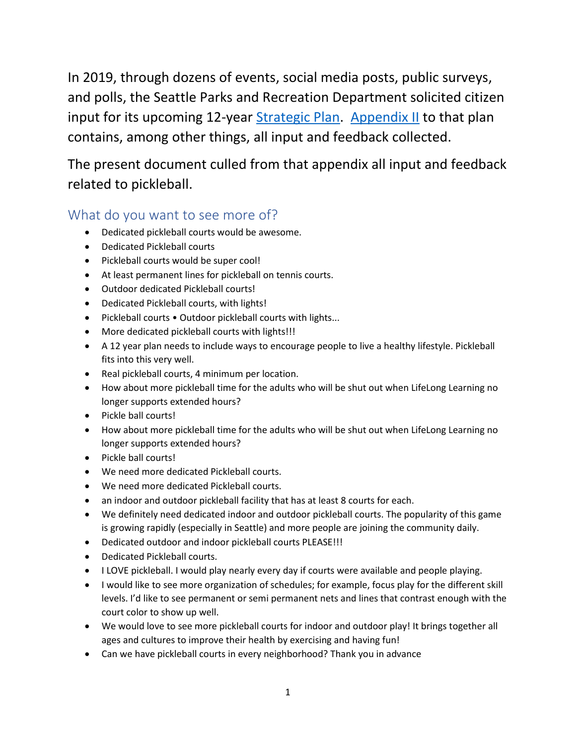In 2019, through dozens of events, social media posts, public surveys, and polls, the Seattle Parks and Recreation Department solicited citizen input for its upcoming 12-year [Strategic Plan.](https://www.seattle.gov/Documents/Departments/ParksAndRecreation/PoliciesPlanning/SPR_Strategic_Plan.03.27.2020.pdf) [Appendix II](https://www.seattle.gov/Documents/Departments/ParksAndRecreation/PoliciesPlanning/StrataegicPlan_AppendixII_Combined.pdf) to that plan contains, among other things, all input and feedback collected.

The present document culled from that appendix all input and feedback related to pickleball.

# What do you want to see more of?

- Dedicated pickleball courts would be awesome.
- Dedicated Pickleball courts
- Pickleball courts would be super cool!
- At least permanent lines for pickleball on tennis courts.
- Outdoor dedicated Pickleball courts!
- Dedicated Pickleball courts, with lights!
- Pickleball courts Outdoor pickleball courts with lights...
- More dedicated pickleball courts with lights!!!
- A 12 year plan needs to include ways to encourage people to live a healthy lifestyle. Pickleball fits into this very well.
- Real pickleball courts, 4 minimum per location.
- How about more pickleball time for the adults who will be shut out when LifeLong Learning no longer supports extended hours?
- Pickle ball courts!
- How about more pickleball time for the adults who will be shut out when LifeLong Learning no longer supports extended hours?
- Pickle ball courts!
- We need more dedicated Pickleball courts.
- We need more dedicated Pickleball courts.
- an indoor and outdoor pickleball facility that has at least 8 courts for each.
- We definitely need dedicated indoor and outdoor pickleball courts. The popularity of this game is growing rapidly (especially in Seattle) and more people are joining the community daily.
- Dedicated outdoor and indoor pickleball courts PLEASE!!!
- Dedicated Pickleball courts.
- I LOVE pickleball. I would play nearly every day if courts were available and people playing.
- I would like to see more organization of schedules; for example, focus play for the different skill levels. I'd like to see permanent or semi permanent nets and lines that contrast enough with the court color to show up well.
- We would love to see more pickleball courts for indoor and outdoor play! It brings together all ages and cultures to improve their health by exercising and having fun!
- Can we have pickleball courts in every neighborhood? Thank you in advance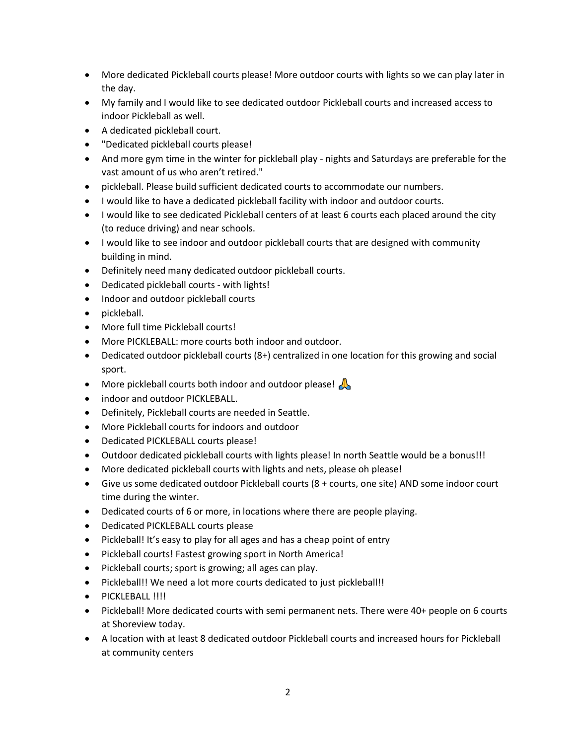- More dedicated Pickleball courts please! More outdoor courts with lights so we can play later in the day.
- My family and I would like to see dedicated outdoor Pickleball courts and increased access to indoor Pickleball as well.
- A dedicated pickleball court.
- "Dedicated pickleball courts please!
- And more gym time in the winter for pickleball play nights and Saturdays are preferable for the vast amount of us who aren't retired."
- pickleball. Please build sufficient dedicated courts to accommodate our numbers.
- I would like to have a dedicated pickleball facility with indoor and outdoor courts.
- I would like to see dedicated Pickleball centers of at least 6 courts each placed around the city (to reduce driving) and near schools.
- I would like to see indoor and outdoor pickleball courts that are designed with community building in mind.
- Definitely need many dedicated outdoor pickleball courts.
- Dedicated pickleball courts with lights!
- Indoor and outdoor pickleball courts
- pickleball.
- More full time Pickleball courts!
- More PICKLEBALL: more courts both indoor and outdoor.
- Dedicated outdoor pickleball courts (8+) centralized in one location for this growing and social sport.
- More pickleball courts both indoor and outdoor please!
- indoor and outdoor PICKLEBALL.
- Definitely, Pickleball courts are needed in Seattle.
- More Pickleball courts for indoors and outdoor
- Dedicated PICKLEBALL courts please!
- Outdoor dedicated pickleball courts with lights please! In north Seattle would be a bonus!!!
- More dedicated pickleball courts with lights and nets, please oh please!
- Give us some dedicated outdoor Pickleball courts (8 + courts, one site) AND some indoor court time during the winter.
- Dedicated courts of 6 or more, in locations where there are people playing.
- Dedicated PICKLEBALL courts please
- Pickleball! It's easy to play for all ages and has a cheap point of entry
- Pickleball courts! Fastest growing sport in North America!
- Pickleball courts; sport is growing; all ages can play.
- Pickleball!! We need a lot more courts dedicated to just pickleball!!
- · PICKLEBALL !!!!
- Pickleball! More dedicated courts with semi permanent nets. There were 40+ people on 6 courts at Shoreview today.
- A location with at least 8 dedicated outdoor Pickleball courts and increased hours for Pickleball at community centers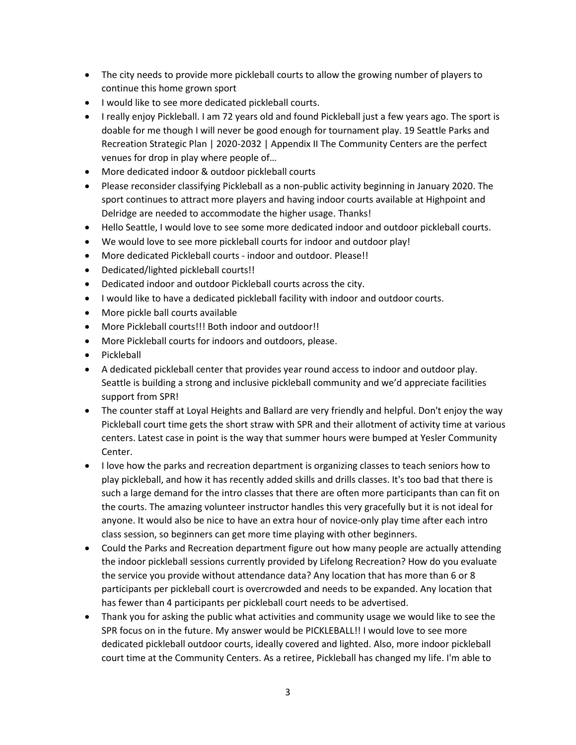- The city needs to provide more pickleball courts to allow the growing number of players to continue this home grown sport
- I would like to see more dedicated pickleball courts.
- I really enjoy Pickleball. I am 72 years old and found Pickleball just a few years ago. The sport is doable for me though I will never be good enough for tournament play. 19 Seattle Parks and Recreation Strategic Plan | 2020-2032 | Appendix II The Community Centers are the perfect venues for drop in play where people of…
- More dedicated indoor & outdoor pickleball courts
- Please reconsider classifying Pickleball as a non-public activity beginning in January 2020. The sport continues to attract more players and having indoor courts available at Highpoint and Delridge are needed to accommodate the higher usage. Thanks!
- Hello Seattle, I would love to see some more dedicated indoor and outdoor pickleball courts.
- We would love to see more pickleball courts for indoor and outdoor play!
- More dedicated Pickleball courts indoor and outdoor. Please!!
- Dedicated/lighted pickleball courts!!
- Dedicated indoor and outdoor Pickleball courts across the city.
- I would like to have a dedicated pickleball facility with indoor and outdoor courts.
- More pickle ball courts available
- More Pickleball courts!!! Both indoor and outdoor!!
- More Pickleball courts for indoors and outdoors, please.
- Pickleball
- A dedicated pickleball center that provides year round access to indoor and outdoor play. Seattle is building a strong and inclusive pickleball community and we'd appreciate facilities support from SPR!
- The counter staff at Loyal Heights and Ballard are very friendly and helpful. Don't enjoy the way Pickleball court time gets the short straw with SPR and their allotment of activity time at various centers. Latest case in point is the way that summer hours were bumped at Yesler Community Center.
- I love how the parks and recreation department is organizing classes to teach seniors how to play pickleball, and how it has recently added skills and drills classes. It's too bad that there is such a large demand for the intro classes that there are often more participants than can fit on the courts. The amazing volunteer instructor handles this very gracefully but it is not ideal for anyone. It would also be nice to have an extra hour of novice-only play time after each intro class session, so beginners can get more time playing with other beginners.
- Could the Parks and Recreation department figure out how many people are actually attending the indoor pickleball sessions currently provided by Lifelong Recreation? How do you evaluate the service you provide without attendance data? Any location that has more than 6 or 8 participants per pickleball court is overcrowded and needs to be expanded. Any location that has fewer than 4 participants per pickleball court needs to be advertised.
- Thank you for asking the public what activities and community usage we would like to see the SPR focus on in the future. My answer would be PICKLEBALL!! I would love to see more dedicated pickleball outdoor courts, ideally covered and lighted. Also, more indoor pickleball court time at the Community Centers. As a retiree, Pickleball has changed my life. I'm able to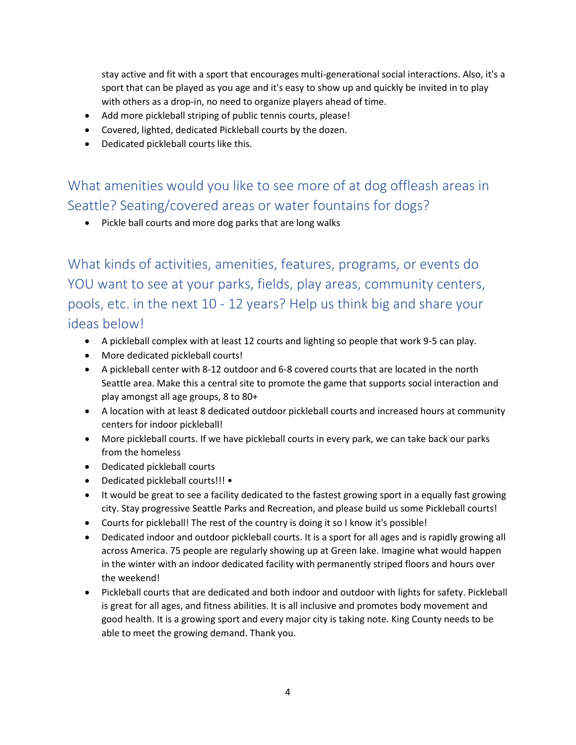stay active and fit with a sport that encourages multi-generational social interactions. Also, it's a sport that can be played as you age and it's easy to show up and quickly be invited in to play with others as a drop-in, no need to organize players ahead of time.

- Add more pickleball striping of public tennis courts, please!
- Covered, lighted, dedicated Pickleball courts by the dozen.
- Dedicated pickleball courts like this.

What amenities would you like to see more of at dog offleash areas in Seattle? Seating/covered areas or water fountains for dogs?

• Pickle ball courts and more dog parks that are long walks

What kinds of activities, amenities, features, programs, or events do YOU want to see at your parks, fields, play areas, community centers, pools, etc. in the next 10 - 12 years? Help us think big and share your ideas below!

- A pickleball complex with at least 12 courts and lighting so people that work 9-5 can play.
- More dedicated pickleball courts!
- A pickleball center with 8-12 outdoor and 6-8 covered courts that are located in the north Seattle area. Make this a central site to promote the game that supports social interaction and play amongst all age groups, 8 to 80+
- A location with at least 8 dedicated outdoor pickleball courts and increased hours at community centers for indoor pickleball!
- More pickleball courts. If we have pickleball courts in every park, we can take back our parks from the homeless
- Dedicated pickleball courts
- Dedicated pickleball courts!!! •
- It would be great to see a facility dedicated to the fastest growing sport in a equally fast growing city. Stay progressive Seattle Parks and Recreation, and please build us some Pickleball courts!
- Courts for pickleball! The rest of the country is doing it so I know it's possible!
- Dedicated indoor and outdoor pickleball courts. It is a sport for all ages and is rapidly growing all across America. 75 people are regularly showing up at Green lake. Imagine what would happen in the winter with an indoor dedicated facility with permanently striped floors and hours over the weekend!
- Pickleball courts that are dedicated and both indoor and outdoor with lights for safety. Pickleball is great for all ages, and fitness abilities. It is all inclusive and promotes body movement and good health. It is a growing sport and every major city is taking note. King County needs to be able to meet the growing demand. Thank you.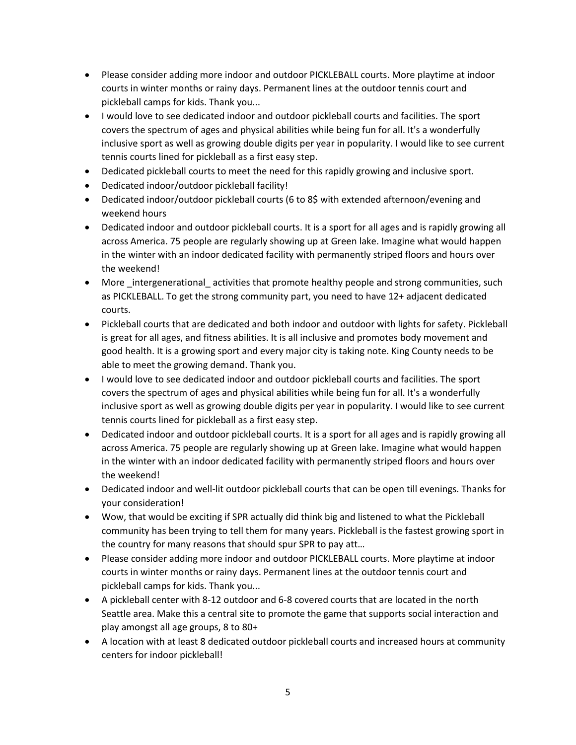- Please consider adding more indoor and outdoor PICKLEBALL courts. More playtime at indoor courts in winter months or rainy days. Permanent lines at the outdoor tennis court and pickleball camps for kids. Thank you...
- I would love to see dedicated indoor and outdoor pickleball courts and facilities. The sport covers the spectrum of ages and physical abilities while being fun for all. It's a wonderfully inclusive sport as well as growing double digits per year in popularity. I would like to see current tennis courts lined for pickleball as a first easy step.
- Dedicated pickleball courts to meet the need for this rapidly growing and inclusive sport.
- Dedicated indoor/outdoor pickleball facility!
- Dedicated indoor/outdoor pickleball courts (6 to 8\$ with extended afternoon/evening and weekend hours
- Dedicated indoor and outdoor pickleball courts. It is a sport for all ages and is rapidly growing all across America. 75 people are regularly showing up at Green lake. Imagine what would happen in the winter with an indoor dedicated facility with permanently striped floors and hours over the weekend!
- More intergenerational activities that promote healthy people and strong communities, such as PICKLEBALL. To get the strong community part, you need to have 12+ adjacent dedicated courts.
- Pickleball courts that are dedicated and both indoor and outdoor with lights for safety. Pickleball is great for all ages, and fitness abilities. It is all inclusive and promotes body movement and good health. It is a growing sport and every major city is taking note. King County needs to be able to meet the growing demand. Thank you.
- I would love to see dedicated indoor and outdoor pickleball courts and facilities. The sport covers the spectrum of ages and physical abilities while being fun for all. It's a wonderfully inclusive sport as well as growing double digits per year in popularity. I would like to see current tennis courts lined for pickleball as a first easy step.
- Dedicated indoor and outdoor pickleball courts. It is a sport for all ages and is rapidly growing all across America. 75 people are regularly showing up at Green lake. Imagine what would happen in the winter with an indoor dedicated facility with permanently striped floors and hours over the weekend!
- Dedicated indoor and well-lit outdoor pickleball courts that can be open till evenings. Thanks for your consideration!
- Wow, that would be exciting if SPR actually did think big and listened to what the Pickleball community has been trying to tell them for many years. Pickleball is the fastest growing sport in the country for many reasons that should spur SPR to pay att…
- Please consider adding more indoor and outdoor PICKLEBALL courts. More playtime at indoor courts in winter months or rainy days. Permanent lines at the outdoor tennis court and pickleball camps for kids. Thank you...
- A pickleball center with 8-12 outdoor and 6-8 covered courts that are located in the north Seattle area. Make this a central site to promote the game that supports social interaction and play amongst all age groups, 8 to 80+
- A location with at least 8 dedicated outdoor pickleball courts and increased hours at community centers for indoor pickleball!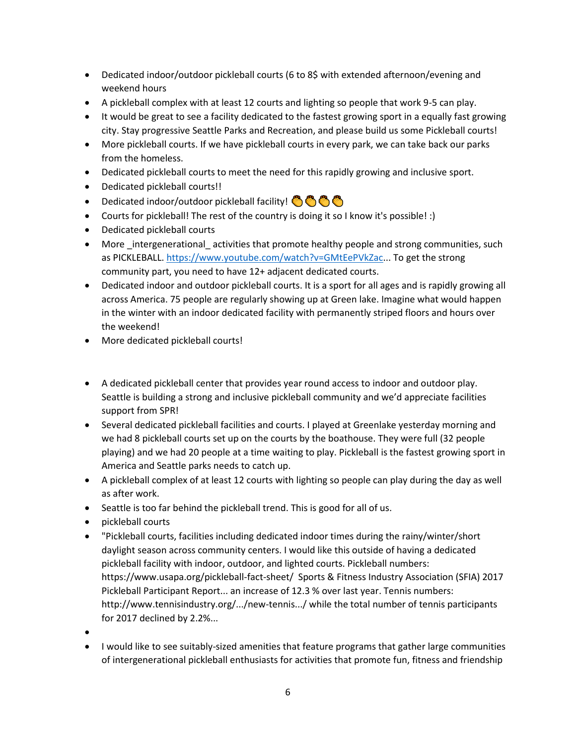- Dedicated indoor/outdoor pickleball courts (6 to 8\$ with extended afternoon/evening and weekend hours
- A pickleball complex with at least 12 courts and lighting so people that work 9-5 can play.
- It would be great to see a facility dedicated to the fastest growing sport in a equally fast growing city. Stay progressive Seattle Parks and Recreation, and please build us some Pickleball courts!
- More pickleball courts. If we have pickleball courts in every park, we can take back our parks from the homeless.
- Dedicated pickleball courts to meet the need for this rapidly growing and inclusive sport.
- Dedicated pickleball courts!!
- Dedicated indoor/outdoor pickleball facility! <a>
- Courts for pickleball! The rest of the country is doing it so I know it's possible! :)
- Dedicated pickleball courts
- More intergenerational activities that promote healthy people and strong communities, such as PICKLEBALL. [https://www.youtube.com/watch?v=GMtEePVkZac.](https://www.youtube.com/watch?v=GMtEePVkZac).. To get the strong community part, you need to have 12+ adjacent dedicated courts.
- Dedicated indoor and outdoor pickleball courts. It is a sport for all ages and is rapidly growing all across America. 75 people are regularly showing up at Green lake. Imagine what would happen in the winter with an indoor dedicated facility with permanently striped floors and hours over the weekend!
- More dedicated pickleball courts!

### • A dedicated pickleball center that provides year round access to indoor and outdoor play. Seattle is building a strong and inclusive pickleball community and we'd appreciate facilities support from SPR!

- Several dedicated pickleball facilities and courts. I played at Greenlake yesterday morning and we had 8 pickleball courts set up on the courts by the boathouse. They were full (32 people playing) and we had 20 people at a time waiting to play. Pickleball is the fastest growing sport in America and Seattle parks needs to catch up.
- A pickleball complex of at least 12 courts with lighting so people can play during the day as well as after work.
- Seattle is too far behind the pickleball trend. This is good for all of us.
- pickleball courts
- "Pickleball courts, facilities including dedicated indoor times during the rainy/winter/short daylight season across community centers. I would like this outside of having a dedicated pickleball facility with indoor, outdoor, and lighted courts. Pickleball numbers: https://www.usapa.org/pickleball-fact-sheet/ Sports & Fitness Industry Association (SFIA) 2017 Pickleball Participant Report... an increase of 12.3 % over last year. Tennis numbers: http://www.tennisindustry.org/.../new-tennis.../ while the total number of tennis participants for 2017 declined by 2.2%...
- •
- I would like to see suitably-sized amenities that feature programs that gather large communities of intergenerational pickleball enthusiasts for activities that promote fun, fitness and friendship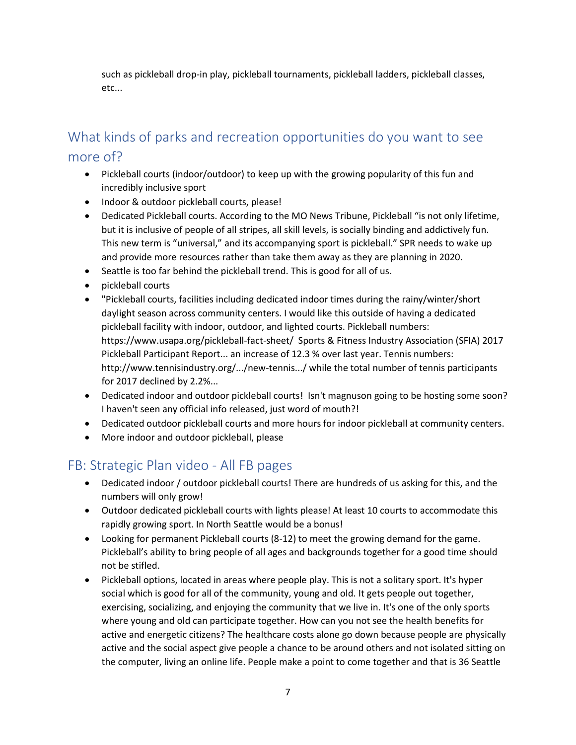such as pickleball drop-in play, pickleball tournaments, pickleball ladders, pickleball classes, etc...

# What kinds of parks and recreation opportunities do you want to see more of?

- Pickleball courts (indoor/outdoor) to keep up with the growing popularity of this fun and incredibly inclusive sport
- Indoor & outdoor pickleball courts, please!
- Dedicated Pickleball courts. According to the MO News Tribune, Pickleball "is not only lifetime, but it is inclusive of people of all stripes, all skill levels, is socially binding and addictively fun. This new term is "universal," and its accompanying sport is pickleball." SPR needs to wake up and provide more resources rather than take them away as they are planning in 2020.
- Seattle is too far behind the pickleball trend. This is good for all of us.
- pickleball courts
- "Pickleball courts, facilities including dedicated indoor times during the rainy/winter/short daylight season across community centers. I would like this outside of having a dedicated pickleball facility with indoor, outdoor, and lighted courts. Pickleball numbers: https://www.usapa.org/pickleball-fact-sheet/ Sports & Fitness Industry Association (SFIA) 2017 Pickleball Participant Report... an increase of 12.3 % over last year. Tennis numbers: http://www.tennisindustry.org/.../new-tennis.../ while the total number of tennis participants for 2017 declined by 2.2%...
- Dedicated indoor and outdoor pickleball courts! Isn't magnuson going to be hosting some soon? I haven't seen any official info released, just word of mouth?!
- Dedicated outdoor pickleball courts and more hours for indoor pickleball at community centers.
- More indoor and outdoor pickleball, please

## FB: Strategic Plan video - All FB pages

- Dedicated indoor / outdoor pickleball courts! There are hundreds of us asking for this, and the numbers will only grow!
- Outdoor dedicated pickleball courts with lights please! At least 10 courts to accommodate this rapidly growing sport. In North Seattle would be a bonus!
- Looking for permanent Pickleball courts (8-12) to meet the growing demand for the game. Pickleball's ability to bring people of all ages and backgrounds together for a good time should not be stifled.
- Pickleball options, located in areas where people play. This is not a solitary sport. It's hyper social which is good for all of the community, young and old. It gets people out together, exercising, socializing, and enjoying the community that we live in. It's one of the only sports where young and old can participate together. How can you not see the health benefits for active and energetic citizens? The healthcare costs alone go down because people are physically active and the social aspect give people a chance to be around others and not isolated sitting on the computer, living an online life. People make a point to come together and that is 36 Seattle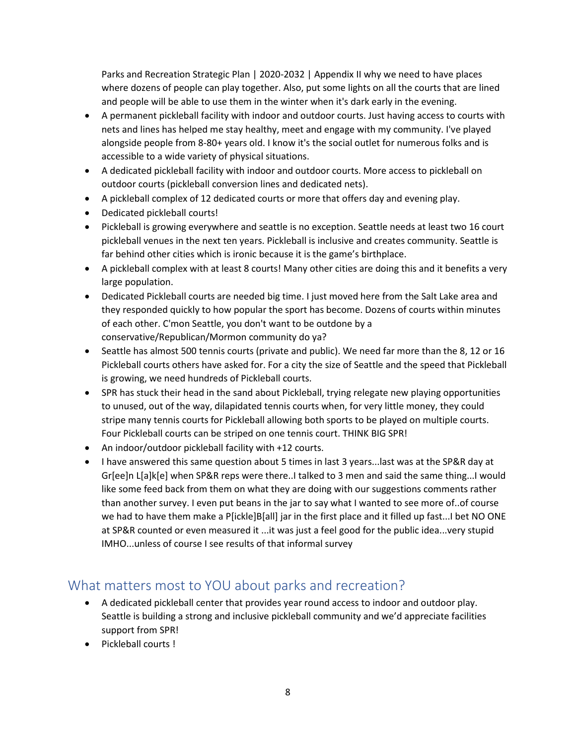Parks and Recreation Strategic Plan | 2020-2032 | Appendix II why we need to have places where dozens of people can play together. Also, put some lights on all the courts that are lined and people will be able to use them in the winter when it's dark early in the evening.

- A permanent pickleball facility with indoor and outdoor courts. Just having access to courts with nets and lines has helped me stay healthy, meet and engage with my community. I've played alongside people from 8-80+ years old. I know it's the social outlet for numerous folks and is accessible to a wide variety of physical situations.
- A dedicated pickleball facility with indoor and outdoor courts. More access to pickleball on outdoor courts (pickleball conversion lines and dedicated nets).
- A pickleball complex of 12 dedicated courts or more that offers day and evening play.
- Dedicated pickleball courts!
- Pickleball is growing everywhere and seattle is no exception. Seattle needs at least two 16 court pickleball venues in the next ten years. Pickleball is inclusive and creates community. Seattle is far behind other cities which is ironic because it is the game's birthplace.
- A pickleball complex with at least 8 courts! Many other cities are doing this and it benefits a very large population.
- Dedicated Pickleball courts are needed big time. I just moved here from the Salt Lake area and they responded quickly to how popular the sport has become. Dozens of courts within minutes of each other. C'mon Seattle, you don't want to be outdone by a conservative/Republican/Mormon community do ya?
- Seattle has almost 500 tennis courts (private and public). We need far more than the 8, 12 or 16 Pickleball courts others have asked for. For a city the size of Seattle and the speed that Pickleball is growing, we need hundreds of Pickleball courts.
- SPR has stuck their head in the sand about Pickleball, trying relegate new playing opportunities to unused, out of the way, dilapidated tennis courts when, for very little money, they could stripe many tennis courts for Pickleball allowing both sports to be played on multiple courts. Four Pickleball courts can be striped on one tennis court. THINK BIG SPR!
- An indoor/outdoor pickleball facility with +12 courts.
- I have answered this same question about 5 times in last 3 years...last was at the SP&R day at Gr[ee]n L[a]k[e] when SP&R reps were there..I talked to 3 men and said the same thing...I would like some feed back from them on what they are doing with our suggestions comments rather than another survey. I even put beans in the jar to say what I wanted to see more of..of course we had to have them make a P[ickle]B[all] jar in the first place and it filled up fast...I bet NO ONE at SP&R counted or even measured it ...it was just a feel good for the public idea...very stupid IMHO...unless of course I see results of that informal survey

# What matters most to YOU about parks and recreation?

- A dedicated pickleball center that provides year round access to indoor and outdoor play. Seattle is building a strong and inclusive pickleball community and we'd appreciate facilities support from SPR!
- Pickleball courts !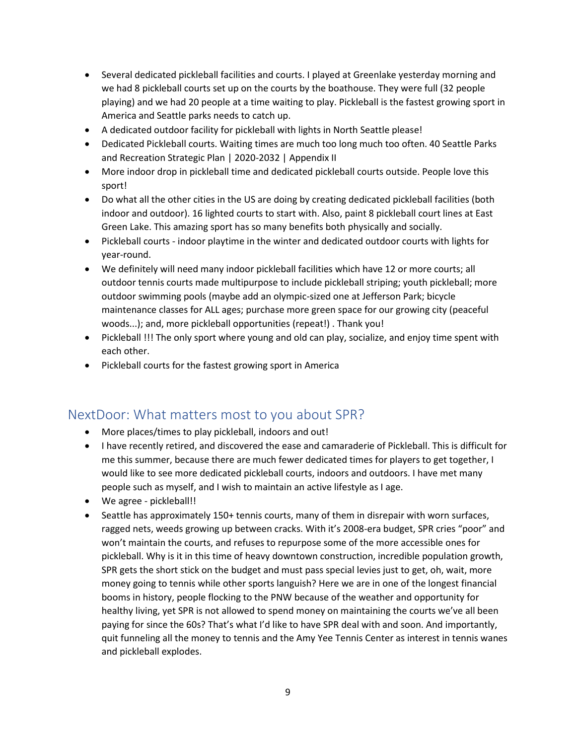- Several dedicated pickleball facilities and courts. I played at Greenlake yesterday morning and we had 8 pickleball courts set up on the courts by the boathouse. They were full (32 people playing) and we had 20 people at a time waiting to play. Pickleball is the fastest growing sport in America and Seattle parks needs to catch up.
- A dedicated outdoor facility for pickleball with lights in North Seattle please!
- Dedicated Pickleball courts. Waiting times are much too long much too often. 40 Seattle Parks and Recreation Strategic Plan | 2020-2032 | Appendix II
- More indoor drop in pickleball time and dedicated pickleball courts outside. People love this sport!
- Do what all the other cities in the US are doing by creating dedicated pickleball facilities (both indoor and outdoor). 16 lighted courts to start with. Also, paint 8 pickleball court lines at East Green Lake. This amazing sport has so many benefits both physically and socially.
- Pickleball courts indoor playtime in the winter and dedicated outdoor courts with lights for year-round.
- We definitely will need many indoor pickleball facilities which have 12 or more courts; all outdoor tennis courts made multipurpose to include pickleball striping; youth pickleball; more outdoor swimming pools (maybe add an olympic-sized one at Jefferson Park; bicycle maintenance classes for ALL ages; purchase more green space for our growing city (peaceful woods...); and, more pickleball opportunities (repeat!) . Thank you!
- Pickleball !!! The only sport where young and old can play, socialize, and enjoy time spent with each other.
- Pickleball courts for the fastest growing sport in America

### NextDoor: What matters most to you about SPR?

- More places/times to play pickleball, indoors and out!
- I have recently retired, and discovered the ease and camaraderie of Pickleball. This is difficult for me this summer, because there are much fewer dedicated times for players to get together, I would like to see more dedicated pickleball courts, indoors and outdoors. I have met many people such as myself, and I wish to maintain an active lifestyle as I age.
- We agree pickleball!!
- Seattle has approximately 150+ tennis courts, many of them in disrepair with worn surfaces, ragged nets, weeds growing up between cracks. With it's 2008-era budget, SPR cries "poor" and won't maintain the courts, and refuses to repurpose some of the more accessible ones for pickleball. Why is it in this time of heavy downtown construction, incredible population growth, SPR gets the short stick on the budget and must pass special levies just to get, oh, wait, more money going to tennis while other sports languish? Here we are in one of the longest financial booms in history, people flocking to the PNW because of the weather and opportunity for healthy living, yet SPR is not allowed to spend money on maintaining the courts we've all been paying for since the 60s? That's what I'd like to have SPR deal with and soon. And importantly, quit funneling all the money to tennis and the Amy Yee Tennis Center as interest in tennis wanes and pickleball explodes.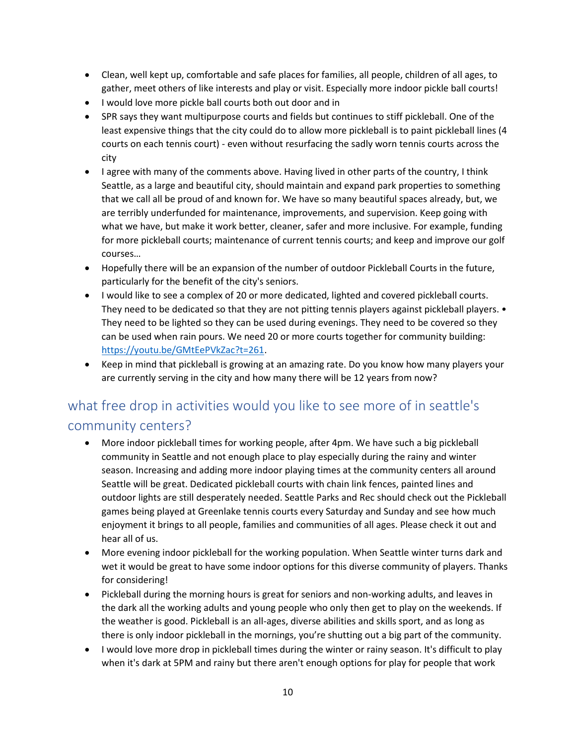- Clean, well kept up, comfortable and safe places for families, all people, children of all ages, to gather, meet others of like interests and play or visit. Especially more indoor pickle ball courts!
- I would love more pickle ball courts both out door and in
- SPR says they want multipurpose courts and fields but continues to stiff pickleball. One of the least expensive things that the city could do to allow more pickleball is to paint pickleball lines (4 courts on each tennis court) - even without resurfacing the sadly worn tennis courts across the city
- I agree with many of the comments above. Having lived in other parts of the country, I think Seattle, as a large and beautiful city, should maintain and expand park properties to something that we call all be proud of and known for. We have so many beautiful spaces already, but, we are terribly underfunded for maintenance, improvements, and supervision. Keep going with what we have, but make it work better, cleaner, safer and more inclusive. For example, funding for more pickleball courts; maintenance of current tennis courts; and keep and improve our golf courses…
- Hopefully there will be an expansion of the number of outdoor Pickleball Courts in the future, particularly for the benefit of the city's seniors.
- I would like to see a complex of 20 or more dedicated, lighted and covered pickleball courts. They need to be dedicated so that they are not pitting tennis players against pickleball players. • They need to be lighted so they can be used during evenings. They need to be covered so they can be used when rain pours. We need 20 or more courts together for community building: [https://youtu.be/GMtEePVkZac?t=261.](https://youtu.be/GMtEePVkZac?t=261)
- Keep in mind that pickleball is growing at an amazing rate. Do you know how many players your are currently serving in the city and how many there will be 12 years from now?

# what free drop in activities would you like to see more of in seattle's community centers?

- More indoor pickleball times for working people, after 4pm. We have such a big pickleball community in Seattle and not enough place to play especially during the rainy and winter season. Increasing and adding more indoor playing times at the community centers all around Seattle will be great. Dedicated pickleball courts with chain link fences, painted lines and outdoor lights are still desperately needed. Seattle Parks and Rec should check out the Pickleball games being played at Greenlake tennis courts every Saturday and Sunday and see how much enjoyment it brings to all people, families and communities of all ages. Please check it out and hear all of us.
- More evening indoor pickleball for the working population. When Seattle winter turns dark and wet it would be great to have some indoor options for this diverse community of players. Thanks for considering!
- Pickleball during the morning hours is great for seniors and non-working adults, and leaves in the dark all the working adults and young people who only then get to play on the weekends. If the weather is good. Pickleball is an all-ages, diverse abilities and skills sport, and as long as there is only indoor pickleball in the mornings, you're shutting out a big part of the community.
- I would love more drop in pickleball times during the winter or rainy season. It's difficult to play when it's dark at 5PM and rainy but there aren't enough options for play for people that work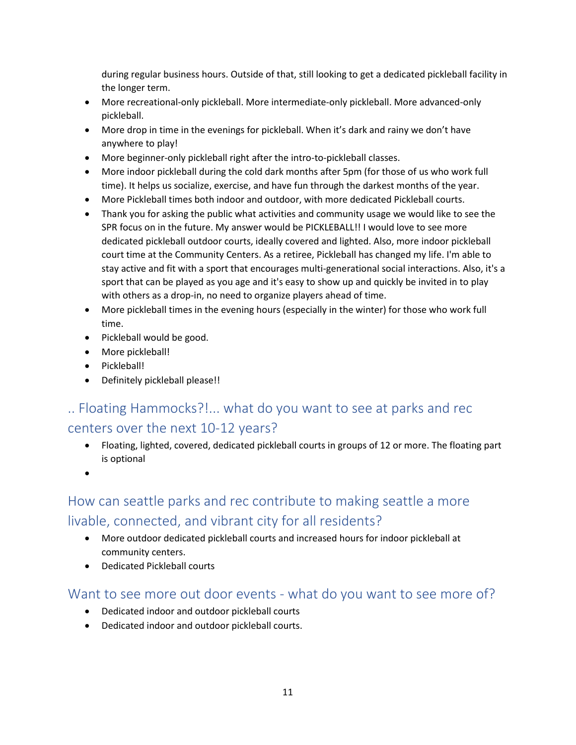during regular business hours. Outside of that, still looking to get a dedicated pickleball facility in the longer term.

- More recreational-only pickleball. More intermediate-only pickleball. More advanced-only pickleball.
- More drop in time in the evenings for pickleball. When it's dark and rainy we don't have anywhere to play!
- More beginner-only pickleball right after the intro-to-pickleball classes.
- More indoor pickleball during the cold dark months after 5pm (for those of us who work full time). It helps us socialize, exercise, and have fun through the darkest months of the year.
- More Pickleball times both indoor and outdoor, with more dedicated Pickleball courts.
- Thank you for asking the public what activities and community usage we would like to see the SPR focus on in the future. My answer would be PICKLEBALL!! I would love to see more dedicated pickleball outdoor courts, ideally covered and lighted. Also, more indoor pickleball court time at the Community Centers. As a retiree, Pickleball has changed my life. I'm able to stay active and fit with a sport that encourages multi-generational social interactions. Also, it's a sport that can be played as you age and it's easy to show up and quickly be invited in to play with others as a drop-in, no need to organize players ahead of time.
- More pickleball times in the evening hours (especially in the winter) for those who work full time.
- Pickleball would be good.
- More pickleball!
- Pickleball!
- Definitely pickleball please!!

# .. Floating Hammocks?!... what do you want to see at parks and rec centers over the next 10-12 years?

- Floating, lighted, covered, dedicated pickleball courts in groups of 12 or more. The floating part is optional
- •

# How can seattle parks and rec contribute to making seattle a more livable, connected, and vibrant city for all residents?

- More outdoor dedicated pickleball courts and increased hours for indoor pickleball at community centers.
- Dedicated Pickleball courts

## Want to see more out door events - what do you want to see more of?

- Dedicated indoor and outdoor pickleball courts
- Dedicated indoor and outdoor pickleball courts.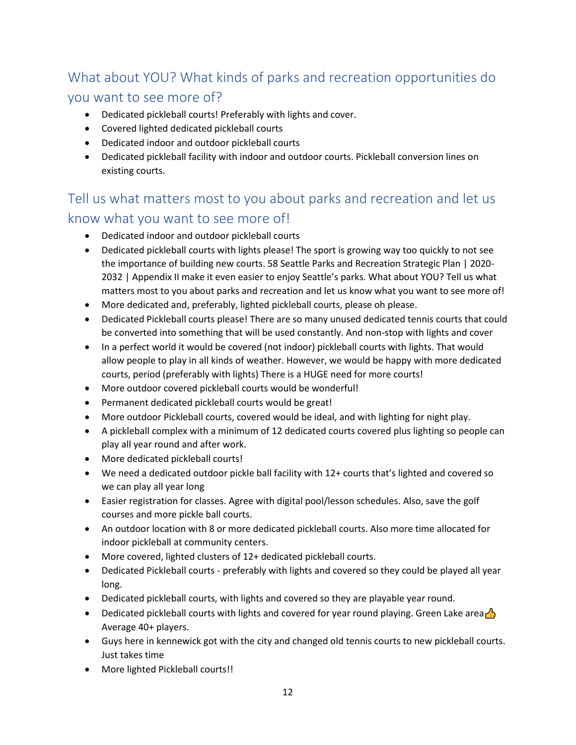# What about YOU? What kinds of parks and recreation opportunities do

## you want to see more of?

- Dedicated pickleball courts! Preferably with lights and cover.
- Covered lighted dedicated pickleball courts
- Dedicated indoor and outdoor pickleball courts
- Dedicated pickleball facility with indoor and outdoor courts. Pickleball conversion lines on existing courts.

# Tell us what matters most to you about parks and recreation and let us know what you want to see more of!

- Dedicated indoor and outdoor pickleball courts
- Dedicated pickleball courts with lights please! The sport is growing way too quickly to not see the importance of building new courts. 58 Seattle Parks and Recreation Strategic Plan | 2020- 2032 | Appendix II make it even easier to enjoy Seattle's parks. What about YOU? Tell us what matters most to you about parks and recreation and let us know what you want to see more of!
- More dedicated and, preferably, lighted pickleball courts, please oh please.
- Dedicated Pickleball courts please! There are so many unused dedicated tennis courts that could be converted into something that will be used constantly. And non-stop with lights and cover
- In a perfect world it would be covered (not indoor) pickleball courts with lights. That would allow people to play in all kinds of weather. However, we would be happy with more dedicated courts, period (preferably with lights) There is a HUGE need for more courts!
- More outdoor covered pickleball courts would be wonderful!
- Permanent dedicated pickleball courts would be great!
- More outdoor Pickleball courts, covered would be ideal, and with lighting for night play.
- A pickleball complex with a minimum of 12 dedicated courts covered plus lighting so people can play all year round and after work.
- More dedicated pickleball courts!
- We need a dedicated outdoor pickle ball facility with 12+ courts that's lighted and covered so we can play all year long
- Easier registration for classes. Agree with digital pool/lesson schedules. Also, save the golf courses and more pickle ball courts.
- An outdoor location with 8 or more dedicated pickleball courts. Also more time allocated for indoor pickleball at community centers.
- More covered, lighted clusters of 12+ dedicated pickleball courts.
- Dedicated Pickleball courts preferably with lights and covered so they could be played all year long.
- Dedicated pickleball courts, with lights and covered so they are playable year round.
- Dedicated pickleball courts with lights and covered for year round playing. Green Lake area Average 40+ players.
- Guys here in kennewick got with the city and changed old tennis courts to new pickleball courts. Just takes time
- More lighted Pickleball courts!!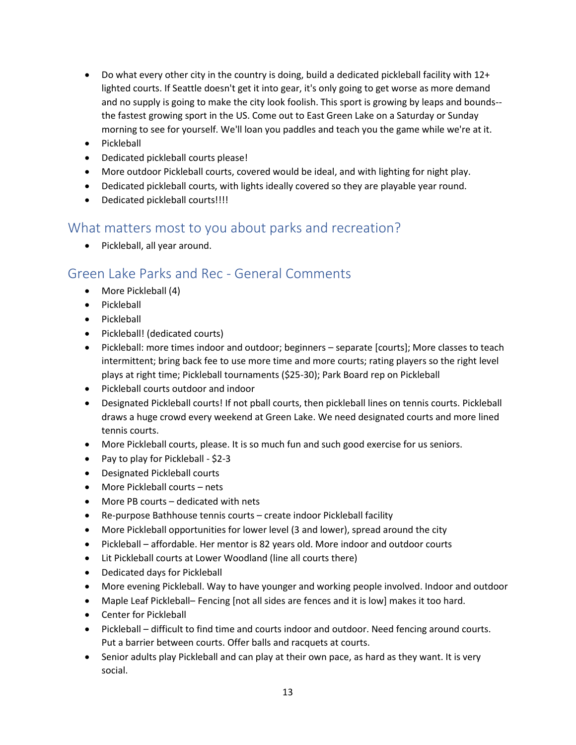- Do what every other city in the country is doing, build a dedicated pickleball facility with 12+ lighted courts. If Seattle doesn't get it into gear, it's only going to get worse as more demand and no supply is going to make the city look foolish. This sport is growing by leaps and bounds- the fastest growing sport in the US. Come out to East Green Lake on a Saturday or Sunday morning to see for yourself. We'll loan you paddles and teach you the game while we're at it.
- Pickleball
- Dedicated pickleball courts please!
- More outdoor Pickleball courts, covered would be ideal, and with lighting for night play.
- Dedicated pickleball courts, with lights ideally covered so they are playable year round.
- Dedicated pickleball courts!!!!

### What matters most to you about parks and recreation?

• Pickleball, all year around.

# Green Lake Parks and Rec - General Comments

- More Pickleball (4)
- Pickleball
- Pickleball
- Pickleball! (dedicated courts)
- Pickleball: more times indoor and outdoor; beginners separate [courts]; More classes to teach intermittent; bring back fee to use more time and more courts; rating players so the right level plays at right time; Pickleball tournaments (\$25-30); Park Board rep on Pickleball
- Pickleball courts outdoor and indoor
- Designated Pickleball courts! If not pball courts, then pickleball lines on tennis courts. Pickleball draws a huge crowd every weekend at Green Lake. We need designated courts and more lined tennis courts.
- More Pickleball courts, please. It is so much fun and such good exercise for us seniors.
- Pay to play for Pickleball \$2-3
- Designated Pickleball courts
- More Pickleball courts nets
- More PB courts dedicated with nets
- Re-purpose Bathhouse tennis courts create indoor Pickleball facility
- More Pickleball opportunities for lower level (3 and lower), spread around the city
- Pickleball affordable. Her mentor is 82 years old. More indoor and outdoor courts
- Lit Pickleball courts at Lower Woodland (line all courts there)
- Dedicated days for Pickleball
- More evening Pickleball. Way to have younger and working people involved. Indoor and outdoor
- Maple Leaf Pickleball– Fencing [not all sides are fences and it is low] makes it too hard.
- Center for Pickleball
- Pickleball difficult to find time and courts indoor and outdoor. Need fencing around courts. Put a barrier between courts. Offer balls and racquets at courts.
- Senior adults play Pickleball and can play at their own pace, as hard as they want. It is very social.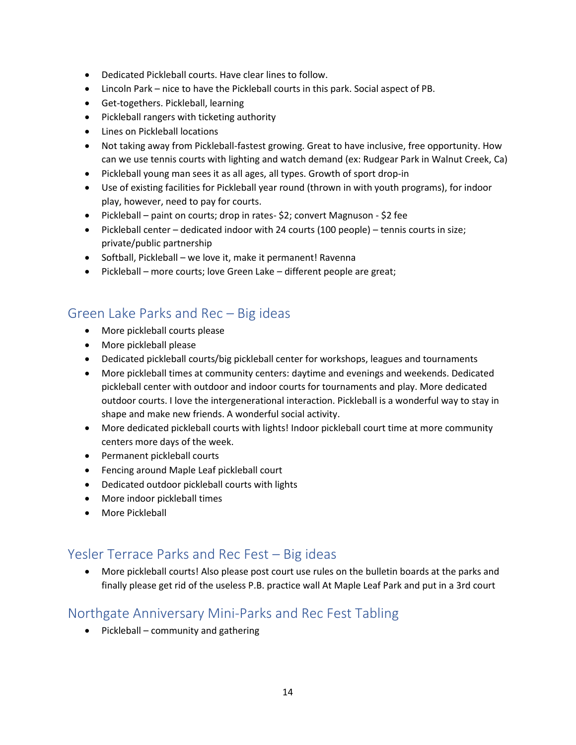- Dedicated Pickleball courts. Have clear lines to follow.
- Lincoln Park nice to have the Pickleball courts in this park. Social aspect of PB.
- Get-togethers. Pickleball, learning
- Pickleball rangers with ticketing authority
- Lines on Pickleball locations
- Not taking away from Pickleball-fastest growing. Great to have inclusive, free opportunity. How can we use tennis courts with lighting and watch demand (ex: Rudgear Park in Walnut Creek, Ca)
- Pickleball young man sees it as all ages, all types. Growth of sport drop-in
- Use of existing facilities for Pickleball year round (thrown in with youth programs), for indoor play, however, need to pay for courts.
- Pickleball paint on courts; drop in rates- \$2; convert Magnuson \$2 fee
- Pickleball center dedicated indoor with 24 courts (100 people) tennis courts in size; private/public partnership
- Softball, Pickleball we love it, make it permanent! Ravenna
- Pickleball more courts; love Green Lake different people are great;

# Green Lake Parks and Rec – Big ideas

- More pickleball courts please
- More pickleball please
- Dedicated pickleball courts/big pickleball center for workshops, leagues and tournaments
- More pickleball times at community centers: daytime and evenings and weekends. Dedicated pickleball center with outdoor and indoor courts for tournaments and play. More dedicated outdoor courts. I love the intergenerational interaction. Pickleball is a wonderful way to stay in shape and make new friends. A wonderful social activity.
- More dedicated pickleball courts with lights! Indoor pickleball court time at more community centers more days of the week.
- Permanent pickleball courts
- Fencing around Maple Leaf pickleball court
- Dedicated outdoor pickleball courts with lights
- More indoor pickleball times
- More Pickleball

## Yesler Terrace Parks and Rec Fest – Big ideas

• More pickleball courts! Also please post court use rules on the bulletin boards at the parks and finally please get rid of the useless P.B. practice wall At Maple Leaf Park and put in a 3rd court

## Northgate Anniversary Mini-Parks and Rec Fest Tabling

• Pickleball – community and gathering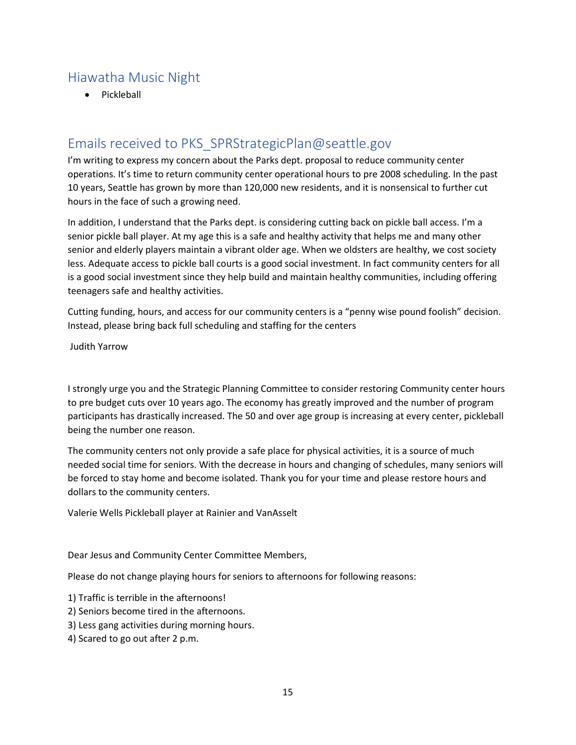# Hiawatha Music Night

• Pickleball

## Emails received to PKS\_SPRStrategicPlan@seattle.gov

I'm writing to express my concern about the Parks dept. proposal to reduce community center operations. It's time to return community center operational hours to pre 2008 scheduling. In the past 10 years, Seattle has grown by more than 120,000 new residents, and it is nonsensical to further cut hours in the face of such a growing need.

In addition, I understand that the Parks dept. is considering cutting back on pickle ball access. I'm a senior pickle ball player. At my age this is a safe and healthy activity that helps me and many other senior and elderly players maintain a vibrant older age. When we oldsters are healthy, we cost society less. Adequate access to pickle ball courts is a good social investment. In fact community centers for all is a good social investment since they help build and maintain healthy communities, including offering teenagers safe and healthy activities.

Cutting funding, hours, and access for our community centers is a "penny wise pound foolish" decision. Instead, please bring back full scheduling and staffing for the centers

Judith Yarrow

I strongly urge you and the Strategic Planning Committee to consider restoring Community center hours to pre budget cuts over 10 years ago. The economy has greatly improved and the number of program participants has drastically increased. The 50 and over age group is increasing at every center, pickleball being the number one reason.

The community centers not only provide a safe place for physical activities, it is a source of much needed social time for seniors. With the decrease in hours and changing of schedules, many seniors will be forced to stay home and become isolated. Thank you for your time and please restore hours and dollars to the community centers.

Valerie Wells Pickleball player at Rainier and VanAsselt

Dear Jesus and Community Center Committee Members,

Please do not change playing hours for seniors to afternoons for following reasons:

- 1) Traffic is terrible in the afternoons!
- 2) Seniors become tired in the afternoons.
- 3) Less gang activities during morning hours.
- 4) Scared to go out after 2 p.m.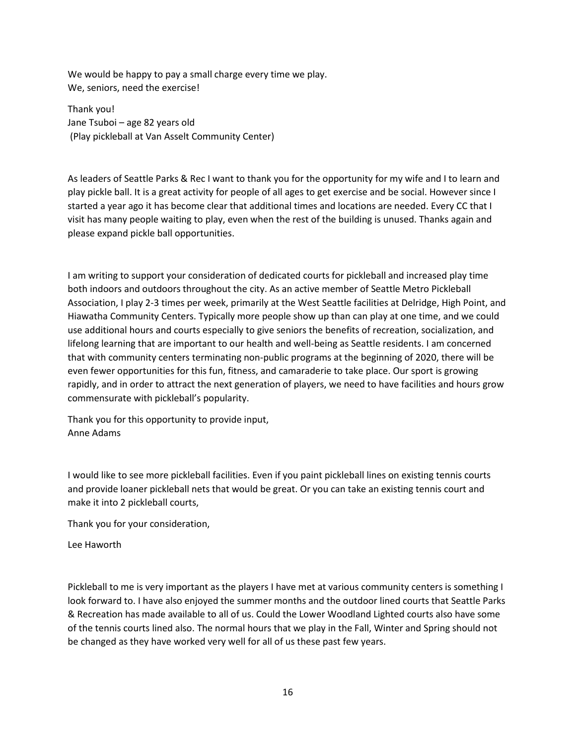We would be happy to pay a small charge every time we play. We, seniors, need the exercise!

Thank you! Jane Tsuboi – age 82 years old (Play pickleball at Van Asselt Community Center)

As leaders of Seattle Parks & Rec I want to thank you for the opportunity for my wife and I to learn and play pickle ball. It is a great activity for people of all ages to get exercise and be social. However since I started a year ago it has become clear that additional times and locations are needed. Every CC that I visit has many people waiting to play, even when the rest of the building is unused. Thanks again and please expand pickle ball opportunities.

I am writing to support your consideration of dedicated courts for pickleball and increased play time both indoors and outdoors throughout the city. As an active member of Seattle Metro Pickleball Association, I play 2-3 times per week, primarily at the West Seattle facilities at Delridge, High Point, and Hiawatha Community Centers. Typically more people show up than can play at one time, and we could use additional hours and courts especially to give seniors the benefits of recreation, socialization, and lifelong learning that are important to our health and well-being as Seattle residents. I am concerned that with community centers terminating non-public programs at the beginning of 2020, there will be even fewer opportunities for this fun, fitness, and camaraderie to take place. Our sport is growing rapidly, and in order to attract the next generation of players, we need to have facilities and hours grow commensurate with pickleball's popularity.

Thank you for this opportunity to provide input, Anne Adams

I would like to see more pickleball facilities. Even if you paint pickleball lines on existing tennis courts and provide loaner pickleball nets that would be great. Or you can take an existing tennis court and make it into 2 pickleball courts,

Thank you for your consideration,

Lee Haworth

Pickleball to me is very important as the players I have met at various community centers is something I look forward to. I have also enjoyed the summer months and the outdoor lined courts that Seattle Parks & Recreation has made available to all of us. Could the Lower Woodland Lighted courts also have some of the tennis courts lined also. The normal hours that we play in the Fall, Winter and Spring should not be changed as they have worked very well for all of us these past few years.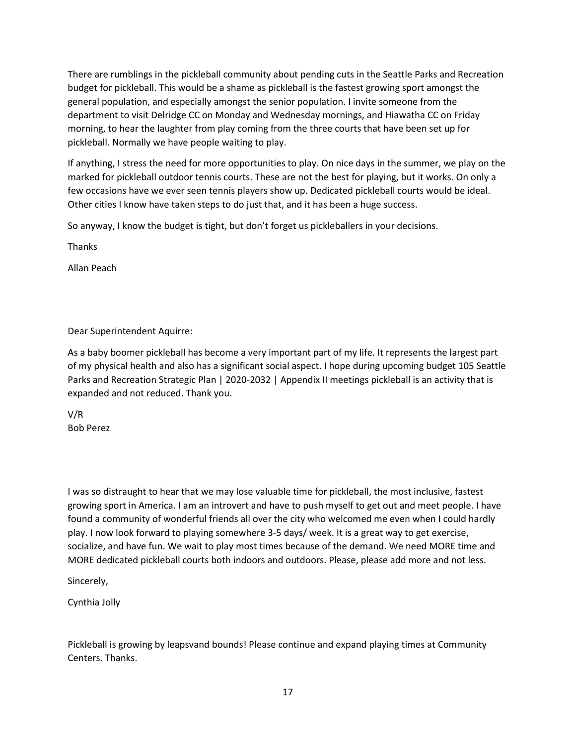There are rumblings in the pickleball community about pending cuts in the Seattle Parks and Recreation budget for pickleball. This would be a shame as pickleball is the fastest growing sport amongst the general population, and especially amongst the senior population. I invite someone from the department to visit Delridge CC on Monday and Wednesday mornings, and Hiawatha CC on Friday morning, to hear the laughter from play coming from the three courts that have been set up for pickleball. Normally we have people waiting to play.

If anything, I stress the need for more opportunities to play. On nice days in the summer, we play on the marked for pickleball outdoor tennis courts. These are not the best for playing, but it works. On only a few occasions have we ever seen tennis players show up. Dedicated pickleball courts would be ideal. Other cities I know have taken steps to do just that, and it has been a huge success.

So anyway, I know the budget is tight, but don't forget us pickleballers in your decisions.

**Thanks** 

Allan Peach

Dear Superintendent Aquirre:

As a baby boomer pickleball has become a very important part of my life. It represents the largest part of my physical health and also has a significant social aspect. I hope during upcoming budget 105 Seattle Parks and Recreation Strategic Plan | 2020-2032 | Appendix II meetings pickleball is an activity that is expanded and not reduced. Thank you.

V/R Bob Perez

I was so distraught to hear that we may lose valuable time for pickleball, the most inclusive, fastest growing sport in America. I am an introvert and have to push myself to get out and meet people. I have found a community of wonderful friends all over the city who welcomed me even when I could hardly play. I now look forward to playing somewhere 3-5 days/ week. It is a great way to get exercise, socialize, and have fun. We wait to play most times because of the demand. We need MORE time and MORE dedicated pickleball courts both indoors and outdoors. Please, please add more and not less.

Sincerely,

Cynthia Jolly

Pickleball is growing by leapsvand bounds! Please continue and expand playing times at Community Centers. Thanks.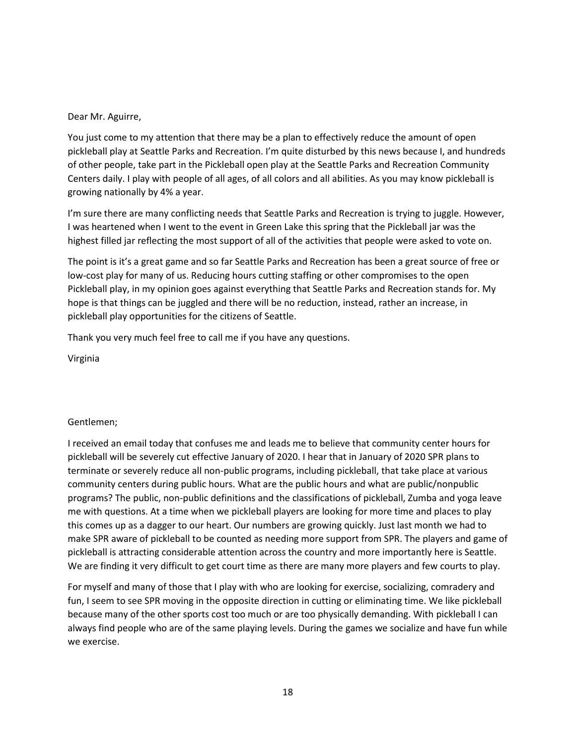#### Dear Mr. Aguirre,

You just come to my attention that there may be a plan to effectively reduce the amount of open pickleball play at Seattle Parks and Recreation. I'm quite disturbed by this news because I, and hundreds of other people, take part in the Pickleball open play at the Seattle Parks and Recreation Community Centers daily. I play with people of all ages, of all colors and all abilities. As you may know pickleball is growing nationally by 4% a year.

I'm sure there are many conflicting needs that Seattle Parks and Recreation is trying to juggle. However, I was heartened when I went to the event in Green Lake this spring that the Pickleball jar was the highest filled jar reflecting the most support of all of the activities that people were asked to vote on.

The point is it's a great game and so far Seattle Parks and Recreation has been a great source of free or low-cost play for many of us. Reducing hours cutting staffing or other compromises to the open Pickleball play, in my opinion goes against everything that Seattle Parks and Recreation stands for. My hope is that things can be juggled and there will be no reduction, instead, rather an increase, in pickleball play opportunities for the citizens of Seattle.

Thank you very much feel free to call me if you have any questions.

Virginia

### Gentlemen;

I received an email today that confuses me and leads me to believe that community center hours for pickleball will be severely cut effective January of 2020. I hear that in January of 2020 SPR plans to terminate or severely reduce all non-public programs, including pickleball, that take place at various community centers during public hours. What are the public hours and what are public/nonpublic programs? The public, non-public definitions and the classifications of pickleball, Zumba and yoga leave me with questions. At a time when we pickleball players are looking for more time and places to play this comes up as a dagger to our heart. Our numbers are growing quickly. Just last month we had to make SPR aware of pickleball to be counted as needing more support from SPR. The players and game of pickleball is attracting considerable attention across the country and more importantly here is Seattle. We are finding it very difficult to get court time as there are many more players and few courts to play.

For myself and many of those that I play with who are looking for exercise, socializing, comradery and fun, I seem to see SPR moving in the opposite direction in cutting or eliminating time. We like pickleball because many of the other sports cost too much or are too physically demanding. With pickleball I can always find people who are of the same playing levels. During the games we socialize and have fun while we exercise.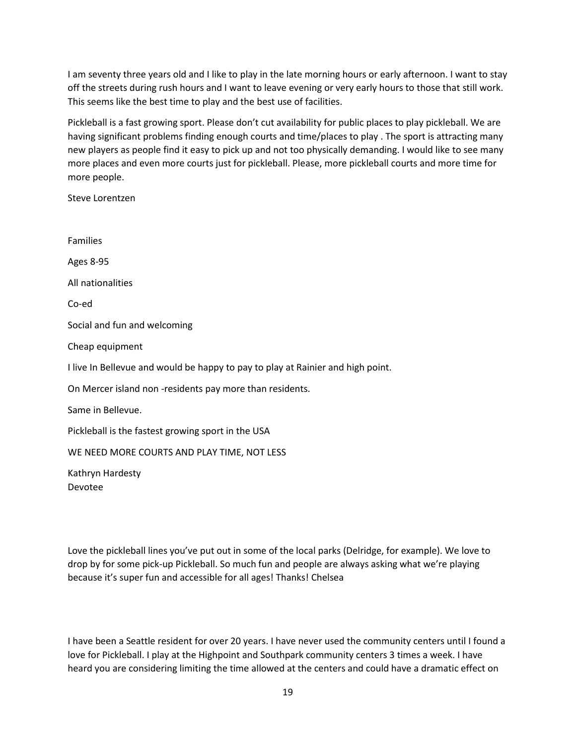I am seventy three years old and I like to play in the late morning hours or early afternoon. I want to stay off the streets during rush hours and I want to leave evening or very early hours to those that still work. This seems like the best time to play and the best use of facilities.

Pickleball is a fast growing sport. Please don't cut availability for public places to play pickleball. We are having significant problems finding enough courts and time/places to play . The sport is attracting many new players as people find it easy to pick up and not too physically demanding. I would like to see many more places and even more courts just for pickleball. Please, more pickleball courts and more time for more people.

Steve Lorentzen

Families Ages 8-95 All nationalities Co-ed Social and fun and welcoming Cheap equipment I live In Bellevue and would be happy to pay to play at Rainier and high point. On Mercer island non -residents pay more than residents. Same in Bellevue. Pickleball is the fastest growing sport in the USA WE NEED MORE COURTS AND PLAY TIME, NOT LESS

Kathryn Hardesty Devotee

Love the pickleball lines you've put out in some of the local parks (Delridge, for example). We love to drop by for some pick-up Pickleball. So much fun and people are always asking what we're playing because it's super fun and accessible for all ages! Thanks! Chelsea

I have been a Seattle resident for over 20 years. I have never used the community centers until I found a love for Pickleball. I play at the Highpoint and Southpark community centers 3 times a week. I have heard you are considering limiting the time allowed at the centers and could have a dramatic effect on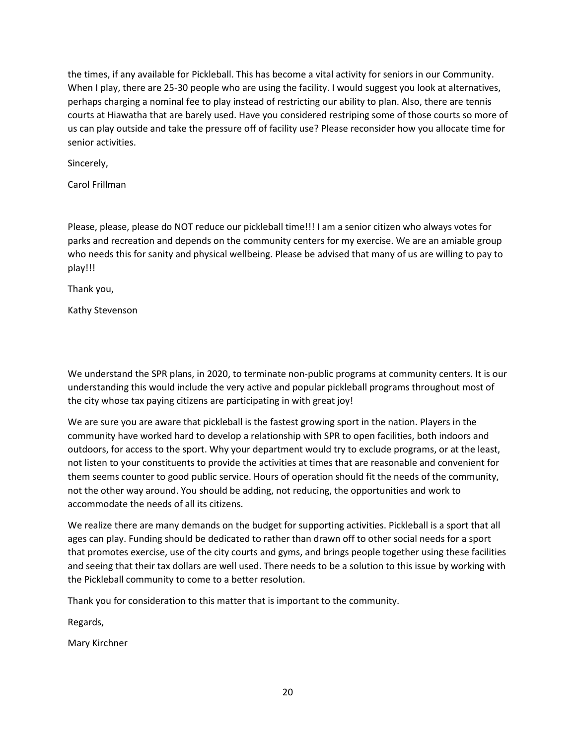the times, if any available for Pickleball. This has become a vital activity for seniors in our Community. When I play, there are 25-30 people who are using the facility. I would suggest you look at alternatives, perhaps charging a nominal fee to play instead of restricting our ability to plan. Also, there are tennis courts at Hiawatha that are barely used. Have you considered restriping some of those courts so more of us can play outside and take the pressure off of facility use? Please reconsider how you allocate time for senior activities.

Sincerely,

Carol Frillman

Please, please, please do NOT reduce our pickleball time!!! I am a senior citizen who always votes for parks and recreation and depends on the community centers for my exercise. We are an amiable group who needs this for sanity and physical wellbeing. Please be advised that many of us are willing to pay to play!!!

Thank you,

Kathy Stevenson

We understand the SPR plans, in 2020, to terminate non-public programs at community centers. It is our understanding this would include the very active and popular pickleball programs throughout most of the city whose tax paying citizens are participating in with great joy!

We are sure you are aware that pickleball is the fastest growing sport in the nation. Players in the community have worked hard to develop a relationship with SPR to open facilities, both indoors and outdoors, for access to the sport. Why your department would try to exclude programs, or at the least, not listen to your constituents to provide the activities at times that are reasonable and convenient for them seems counter to good public service. Hours of operation should fit the needs of the community, not the other way around. You should be adding, not reducing, the opportunities and work to accommodate the needs of all its citizens.

We realize there are many demands on the budget for supporting activities. Pickleball is a sport that all ages can play. Funding should be dedicated to rather than drawn off to other social needs for a sport that promotes exercise, use of the city courts and gyms, and brings people together using these facilities and seeing that their tax dollars are well used. There needs to be a solution to this issue by working with the Pickleball community to come to a better resolution.

Thank you for consideration to this matter that is important to the community.

Regards,

Mary Kirchner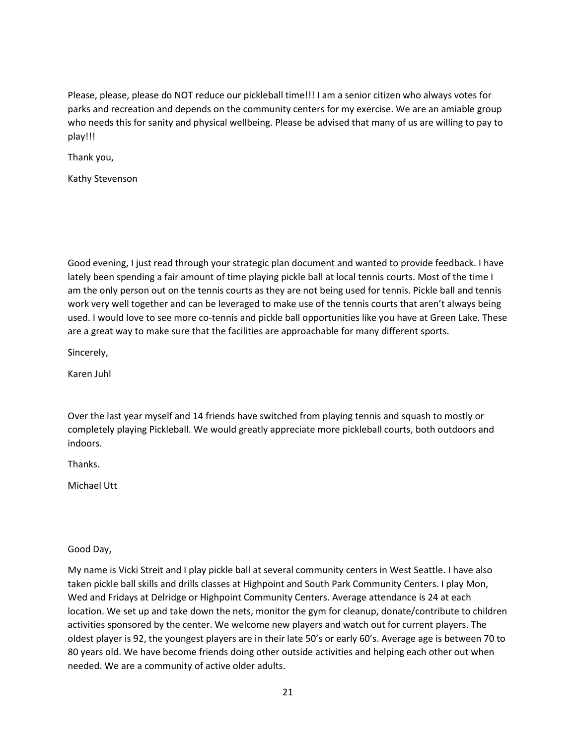Please, please, please do NOT reduce our pickleball time!!! I am a senior citizen who always votes for parks and recreation and depends on the community centers for my exercise. We are an amiable group who needs this for sanity and physical wellbeing. Please be advised that many of us are willing to pay to play!!!

Thank you,

Kathy Stevenson

Good evening, I just read through your strategic plan document and wanted to provide feedback. I have lately been spending a fair amount of time playing pickle ball at local tennis courts. Most of the time I am the only person out on the tennis courts as they are not being used for tennis. Pickle ball and tennis work very well together and can be leveraged to make use of the tennis courts that aren't always being used. I would love to see more co-tennis and pickle ball opportunities like you have at Green Lake. These are a great way to make sure that the facilities are approachable for many different sports.

Sincerely,

Karen Juhl

Over the last year myself and 14 friends have switched from playing tennis and squash to mostly or completely playing Pickleball. We would greatly appreciate more pickleball courts, both outdoors and indoors.

Thanks.

Michael Utt

Good Day,

My name is Vicki Streit and I play pickle ball at several community centers in West Seattle. I have also taken pickle ball skills and drills classes at Highpoint and South Park Community Centers. I play Mon, Wed and Fridays at Delridge or Highpoint Community Centers. Average attendance is 24 at each location. We set up and take down the nets, monitor the gym for cleanup, donate/contribute to children activities sponsored by the center. We welcome new players and watch out for current players. The oldest player is 92, the youngest players are in their late 50's or early 60's. Average age is between 70 to 80 years old. We have become friends doing other outside activities and helping each other out when needed. We are a community of active older adults.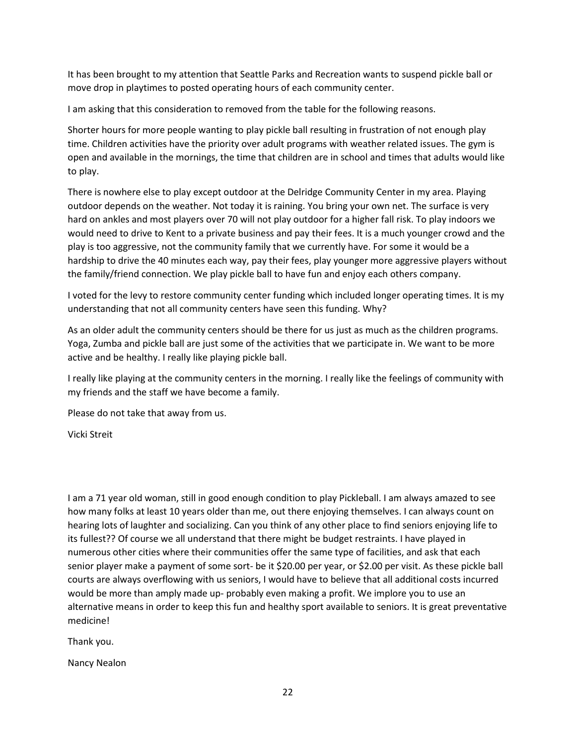It has been brought to my attention that Seattle Parks and Recreation wants to suspend pickle ball or move drop in playtimes to posted operating hours of each community center.

I am asking that this consideration to removed from the table for the following reasons.

Shorter hours for more people wanting to play pickle ball resulting in frustration of not enough play time. Children activities have the priority over adult programs with weather related issues. The gym is open and available in the mornings, the time that children are in school and times that adults would like to play.

There is nowhere else to play except outdoor at the Delridge Community Center in my area. Playing outdoor depends on the weather. Not today it is raining. You bring your own net. The surface is very hard on ankles and most players over 70 will not play outdoor for a higher fall risk. To play indoors we would need to drive to Kent to a private business and pay their fees. It is a much younger crowd and the play is too aggressive, not the community family that we currently have. For some it would be a hardship to drive the 40 minutes each way, pay their fees, play younger more aggressive players without the family/friend connection. We play pickle ball to have fun and enjoy each others company.

I voted for the levy to restore community center funding which included longer operating times. It is my understanding that not all community centers have seen this funding. Why?

As an older adult the community centers should be there for us just as much as the children programs. Yoga, Zumba and pickle ball are just some of the activities that we participate in. We want to be more active and be healthy. I really like playing pickle ball.

I really like playing at the community centers in the morning. I really like the feelings of community with my friends and the staff we have become a family.

Please do not take that away from us.

Vicki Streit

I am a 71 year old woman, still in good enough condition to play Pickleball. I am always amazed to see how many folks at least 10 years older than me, out there enjoying themselves. I can always count on hearing lots of laughter and socializing. Can you think of any other place to find seniors enjoying life to its fullest?? Of course we all understand that there might be budget restraints. I have played in numerous other cities where their communities offer the same type of facilities, and ask that each senior player make a payment of some sort- be it \$20.00 per year, or \$2.00 per visit. As these pickle ball courts are always overflowing with us seniors, I would have to believe that all additional costs incurred would be more than amply made up- probably even making a profit. We implore you to use an alternative means in order to keep this fun and healthy sport available to seniors. It is great preventative medicine!

Thank you.

Nancy Nealon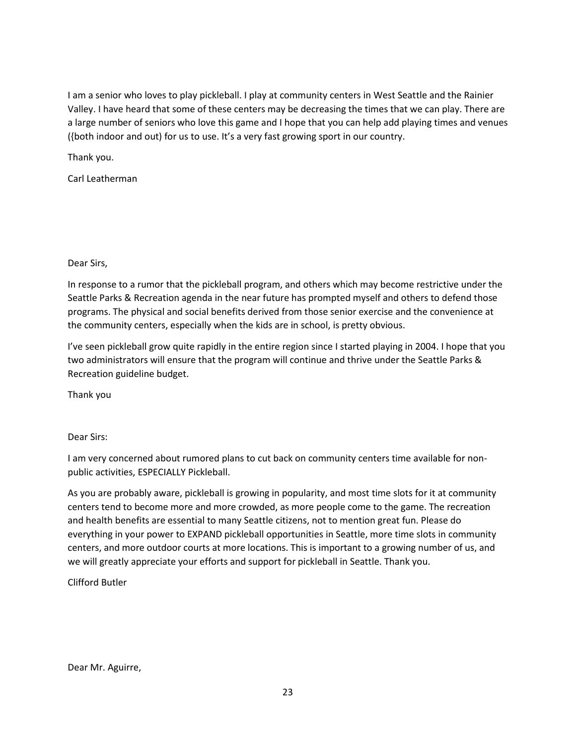I am a senior who loves to play pickleball. I play at community centers in West Seattle and the Rainier Valley. I have heard that some of these centers may be decreasing the times that we can play. There are a large number of seniors who love this game and I hope that you can help add playing times and venues ({both indoor and out) for us to use. It's a very fast growing sport in our country.

Thank you.

Carl Leatherman

Dear Sirs,

In response to a rumor that the pickleball program, and others which may become restrictive under the Seattle Parks & Recreation agenda in the near future has prompted myself and others to defend those programs. The physical and social benefits derived from those senior exercise and the convenience at the community centers, especially when the kids are in school, is pretty obvious.

I've seen pickleball grow quite rapidly in the entire region since I started playing in 2004. I hope that you two administrators will ensure that the program will continue and thrive under the Seattle Parks & Recreation guideline budget.

Thank you

Dear Sirs:

I am very concerned about rumored plans to cut back on community centers time available for nonpublic activities, ESPECIALLY Pickleball.

As you are probably aware, pickleball is growing in popularity, and most time slots for it at community centers tend to become more and more crowded, as more people come to the game. The recreation and health benefits are essential to many Seattle citizens, not to mention great fun. Please do everything in your power to EXPAND pickleball opportunities in Seattle, more time slots in community centers, and more outdoor courts at more locations. This is important to a growing number of us, and we will greatly appreciate your efforts and support for pickleball in Seattle. Thank you.

Clifford Butler

Dear Mr. Aguirre,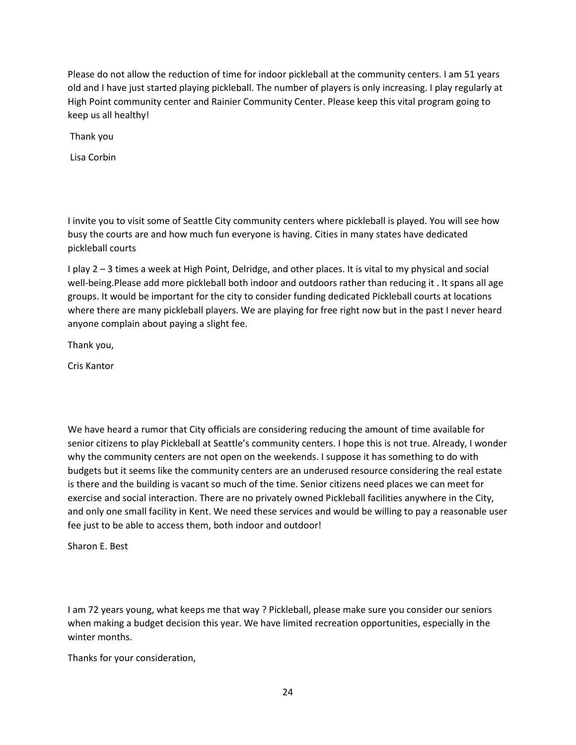Please do not allow the reduction of time for indoor pickleball at the community centers. I am 51 years old and I have just started playing pickleball. The number of players is only increasing. I play regularly at High Point community center and Rainier Community Center. Please keep this vital program going to keep us all healthy!

Thank you

Lisa Corbin

I invite you to visit some of Seattle City community centers where pickleball is played. You will see how busy the courts are and how much fun everyone is having. Cities in many states have dedicated pickleball courts

I play 2 – 3 times a week at High Point, Delridge, and other places. It is vital to my physical and social well-being.Please add more pickleball both indoor and outdoors rather than reducing it . It spans all age groups. It would be important for the city to consider funding dedicated Pickleball courts at locations where there are many pickleball players. We are playing for free right now but in the past I never heard anyone complain about paying a slight fee.

Thank you,

Cris Kantor

We have heard a rumor that City officials are considering reducing the amount of time available for senior citizens to play Pickleball at Seattle's community centers. I hope this is not true. Already, I wonder why the community centers are not open on the weekends. I suppose it has something to do with budgets but it seems like the community centers are an underused resource considering the real estate is there and the building is vacant so much of the time. Senior citizens need places we can meet for exercise and social interaction. There are no privately owned Pickleball facilities anywhere in the City, and only one small facility in Kent. We need these services and would be willing to pay a reasonable user fee just to be able to access them, both indoor and outdoor!

Sharon E. Best

I am 72 years young, what keeps me that way ? Pickleball, please make sure you consider our seniors when making a budget decision this year. We have limited recreation opportunities, especially in the winter months.

Thanks for your consideration,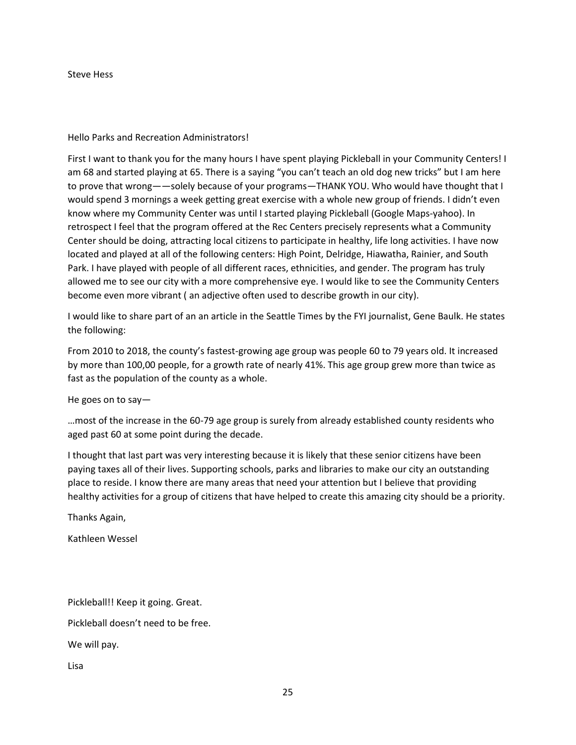Steve Hess

Hello Parks and Recreation Administrators!

First I want to thank you for the many hours I have spent playing Pickleball in your Community Centers! I am 68 and started playing at 65. There is a saying "you can't teach an old dog new tricks" but I am here to prove that wrong——solely because of your programs—THANK YOU. Who would have thought that I would spend 3 mornings a week getting great exercise with a whole new group of friends. I didn't even know where my Community Center was until I started playing Pickleball (Google Maps-yahoo). In retrospect I feel that the program offered at the Rec Centers precisely represents what a Community Center should be doing, attracting local citizens to participate in healthy, life long activities. I have now located and played at all of the following centers: High Point, Delridge, Hiawatha, Rainier, and South Park. I have played with people of all different races, ethnicities, and gender. The program has truly allowed me to see our city with a more comprehensive eye. I would like to see the Community Centers become even more vibrant ( an adjective often used to describe growth in our city).

I would like to share part of an an article in the Seattle Times by the FYI journalist, Gene Baulk. He states the following:

From 2010 to 2018, the county's fastest-growing age group was people 60 to 79 years old. It increased by more than 100,00 people, for a growth rate of nearly 41%. This age group grew more than twice as fast as the population of the county as a whole.

He goes on to say—

…most of the increase in the 60-79 age group is surely from already established county residents who aged past 60 at some point during the decade.

I thought that last part was very interesting because it is likely that these senior citizens have been paying taxes all of their lives. Supporting schools, parks and libraries to make our city an outstanding place to reside. I know there are many areas that need your attention but I believe that providing healthy activities for a group of citizens that have helped to create this amazing city should be a priority.

Thanks Again,

Kathleen Wessel

Pickleball!! Keep it going. Great.

Pickleball doesn't need to be free.

We will pay.

Lisa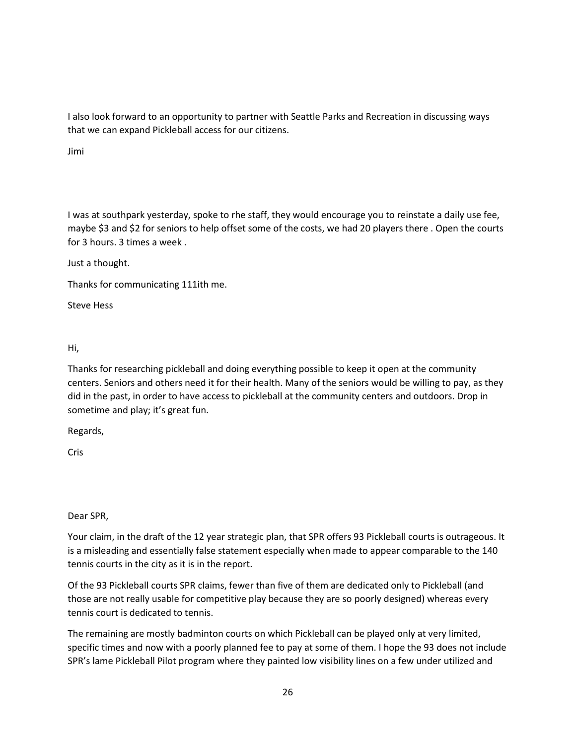I also look forward to an opportunity to partner with Seattle Parks and Recreation in discussing ways that we can expand Pickleball access for our citizens.

Jimi

I was at southpark yesterday, spoke to rhe staff, they would encourage you to reinstate a daily use fee, maybe \$3 and \$2 for seniors to help offset some of the costs, we had 20 players there . Open the courts for 3 hours. 3 times a week .

Just a thought.

Thanks for communicating 111ith me.

Steve Hess

Hi,

Thanks for researching pickleball and doing everything possible to keep it open at the community centers. Seniors and others need it for their health. Many of the seniors would be willing to pay, as they did in the past, in order to have access to pickleball at the community centers and outdoors. Drop in sometime and play; it's great fun.

Regards,

Cris

Dear SPR,

Your claim, in the draft of the 12 year strategic plan, that SPR offers 93 Pickleball courts is outrageous. It is a misleading and essentially false statement especially when made to appear comparable to the 140 tennis courts in the city as it is in the report.

Of the 93 Pickleball courts SPR claims, fewer than five of them are dedicated only to Pickleball (and those are not really usable for competitive play because they are so poorly designed) whereas every tennis court is dedicated to tennis.

The remaining are mostly badminton courts on which Pickleball can be played only at very limited, specific times and now with a poorly planned fee to pay at some of them. I hope the 93 does not include SPR's lame Pickleball Pilot program where they painted low visibility lines on a few under utilized and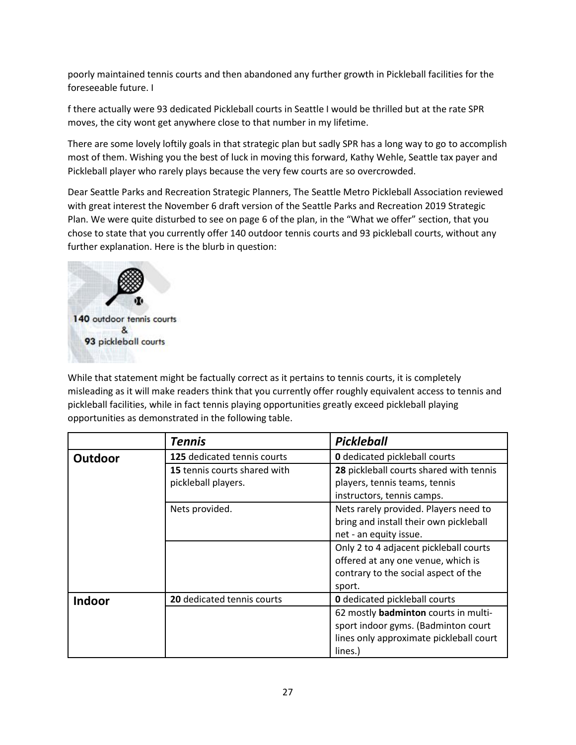poorly maintained tennis courts and then abandoned any further growth in Pickleball facilities for the foreseeable future. I

f there actually were 93 dedicated Pickleball courts in Seattle I would be thrilled but at the rate SPR moves, the city wont get anywhere close to that number in my lifetime.

There are some lovely loftily goals in that strategic plan but sadly SPR has a long way to go to accomplish most of them. Wishing you the best of luck in moving this forward, Kathy Wehle, Seattle tax payer and Pickleball player who rarely plays because the very few courts are so overcrowded.

Dear Seattle Parks and Recreation Strategic Planners, The Seattle Metro Pickleball Association reviewed with great interest the November 6 draft version of the Seattle Parks and Recreation 2019 Strategic Plan. We were quite disturbed to see on page 6 of the plan, in the "What we offer" section, that you chose to state that you currently offer 140 outdoor tennis courts and 93 pickleball courts, without any further explanation. Here is the blurb in question:



While that statement might be factually correct as it pertains to tennis courts, it is completely misleading as it will make readers think that you currently offer roughly equivalent access to tennis and pickleball facilities, while in fact tennis playing opportunities greatly exceed pickleball playing opportunities as demonstrated in the following table.

|         | <b>Tennis</b>                | <b>Pickleball</b>                           |
|---------|------------------------------|---------------------------------------------|
| Outdoor | 125 dedicated tennis courts  | <b>0</b> dedicated pickleball courts        |
|         | 15 tennis courts shared with | 28 pickleball courts shared with tennis     |
|         | pickleball players.          | players, tennis teams, tennis               |
|         |                              | instructors, tennis camps.                  |
|         | Nets provided.               | Nets rarely provided. Players need to       |
|         |                              | bring and install their own pickleball      |
|         |                              | net - an equity issue.                      |
|         |                              | Only 2 to 4 adjacent pickleball courts      |
|         |                              | offered at any one venue, which is          |
|         |                              | contrary to the social aspect of the        |
|         |                              | sport.                                      |
| Indoor  | 20 dedicated tennis courts   | <b>0</b> dedicated pickleball courts        |
|         |                              | 62 mostly <b>badminton</b> courts in multi- |
|         |                              | sport indoor gyms. (Badminton court         |
|         |                              | lines only approximate pickleball court     |
|         |                              | lines.)                                     |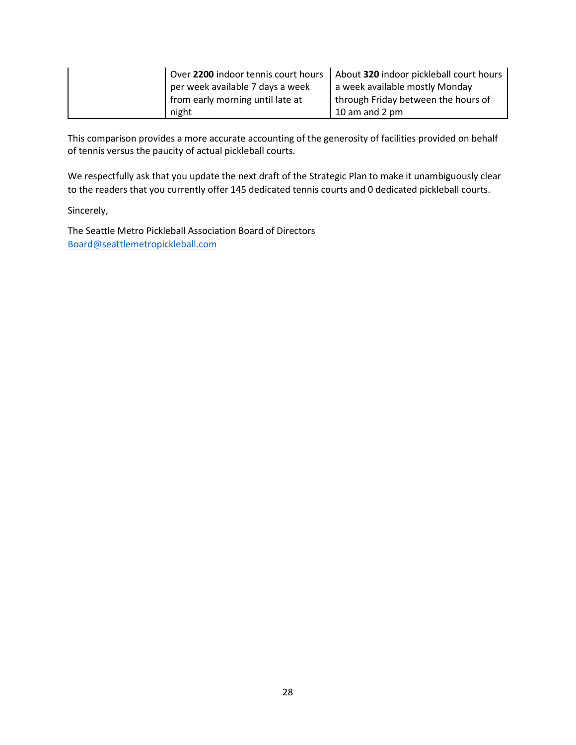|                                  | Over 2200 indoor tennis court hours   About 320 indoor pickleball court hours |
|----------------------------------|-------------------------------------------------------------------------------|
| per week available 7 days a week | a week available mostly Monday                                                |
| from early morning until late at | through Friday between the hours of                                           |
| night                            | 10 am and 2 $pm$                                                              |

This comparison provides a more accurate accounting of the generosity of facilities provided on behalf of tennis versus the paucity of actual pickleball courts.

We respectfully ask that you update the next draft of the Strategic Plan to make it unambiguously clear to the readers that you currently offer 145 dedicated tennis courts and 0 dedicated pickleball courts.

Sincerely,

The Seattle Metro Pickleball Association Board of Directors [Board@seattlemetropickleball.com](mailto:Board@seattlemetropickleball.com)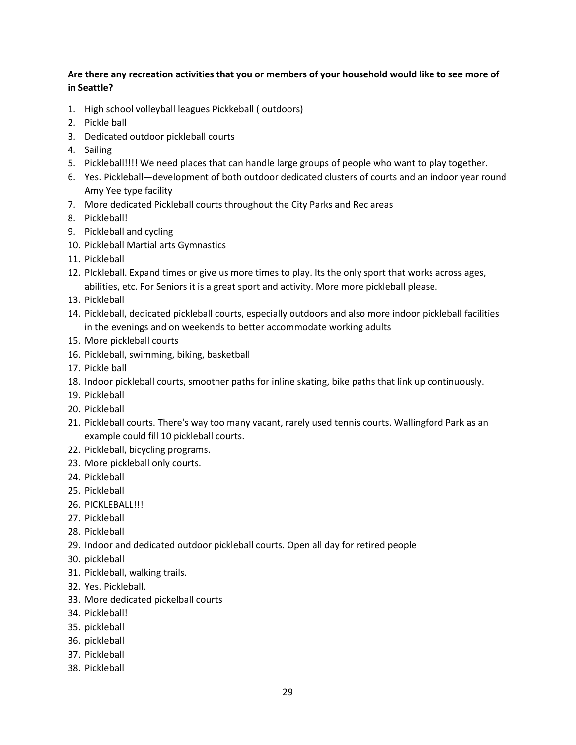### **Are there any recreation activities that you or members of your household would like to see more of in Seattle?**

- 1. High school volleyball leagues Pickkeball ( outdoors)
- 2. Pickle ball
- 3. Dedicated outdoor pickleball courts
- 4. Sailing
- 5. Pickleball!!!! We need places that can handle large groups of people who want to play together.
- 6. Yes. Pickleball—development of both outdoor dedicated clusters of courts and an indoor year round Amy Yee type facility
- 7. More dedicated Pickleball courts throughout the City Parks and Rec areas
- 8. Pickleball!
- 9. Pickleball and cycling
- 10. Pickleball Martial arts Gymnastics
- 11. Pickleball
- 12. PIckleball. Expand times or give us more times to play. Its the only sport that works across ages, abilities, etc. For Seniors it is a great sport and activity. More more pickleball please.
- 13. Pickleball
- 14. Pickleball, dedicated pickleball courts, especially outdoors and also more indoor pickleball facilities in the evenings and on weekends to better accommodate working adults
- 15. More pickleball courts
- 16. Pickleball, swimming, biking, basketball
- 17. Pickle ball
- 18. Indoor pickleball courts, smoother paths for inline skating, bike paths that link up continuously.
- 19. Pickleball
- 20. Pickleball
- 21. Pickleball courts. There's way too many vacant, rarely used tennis courts. Wallingford Park as an example could fill 10 pickleball courts.
- 22. Pickleball, bicycling programs.
- 23. More pickleball only courts.
- 24. Pickleball
- 25. Pickleball
- 26. PICKLEBALL!!!
- 27. Pickleball
- 28. Pickleball
- 29. Indoor and dedicated outdoor pickleball courts. Open all day for retired people
- 30. pickleball
- 31. Pickleball, walking trails.
- 32. Yes. Pickleball.
- 33. More dedicated pickelball courts
- 34. Pickleball!
- 35. pickleball
- 36. pickleball
- 37. Pickleball
- 38. Pickleball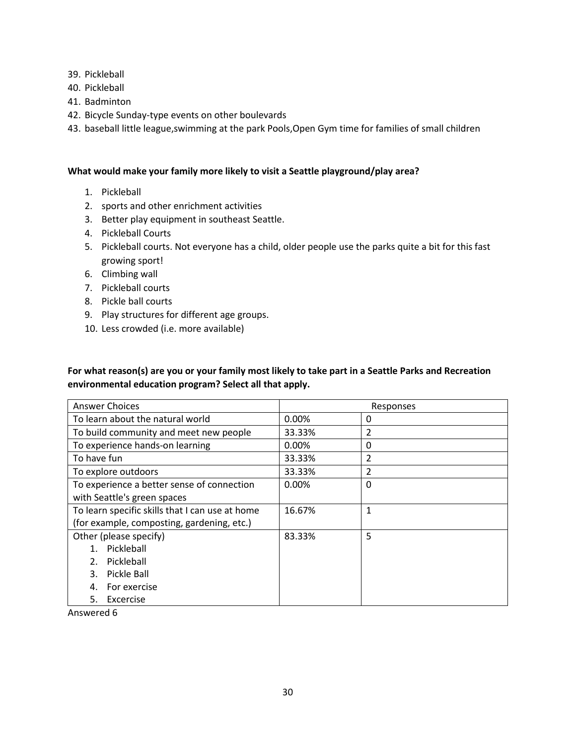- 39. Pickleball
- 40. Pickleball
- 41. Badminton
- 42. Bicycle Sunday-type events on other boulevards
- 43. baseball little league,swimming at the park Pools,Open Gym time for families of small children

#### **What would make your family more likely to visit a Seattle playground/play area?**

- 1. Pickleball
- 2. sports and other enrichment activities
- 3. Better play equipment in southeast Seattle.
- 4. Pickleball Courts
- 5. Pickleball courts. Not everyone has a child, older people use the parks quite a bit for this fast growing sport!
- 6. Climbing wall
- 7. Pickleball courts
- 8. Pickle ball courts
- 9. Play structures for different age groups.
- 10. Less crowded (i.e. more available)

### **For what reason(s) are you or your family most likely to take part in a Seattle Parks and Recreation environmental education program? Select all that apply.**

| <b>Answer Choices</b>                           | Responses  |   |  |
|-------------------------------------------------|------------|---|--|
| To learn about the natural world                | $0.00\%$   | 0 |  |
| To build community and meet new people          | 33.33%     | 2 |  |
| To experience hands-on learning                 | 0.00%<br>0 |   |  |
| To have fun                                     | 33.33%     | 2 |  |
| To explore outdoors                             | 33.33%     | 2 |  |
| To experience a better sense of connection      | 0.00%      | 0 |  |
| with Seattle's green spaces                     |            |   |  |
| To learn specific skills that I can use at home | 16.67%     | 1 |  |
| (for example, composting, gardening, etc.)      |            |   |  |
| Other (please specify)                          | 83.33%     | 5 |  |
| Pickleball                                      |            |   |  |
| Pickleball<br>$2^{\circ}$                       |            |   |  |
| Pickle Ball<br>3.                               |            |   |  |
| For exercise<br>4.                              |            |   |  |
| Excercise<br>5.                                 |            |   |  |

Answered 6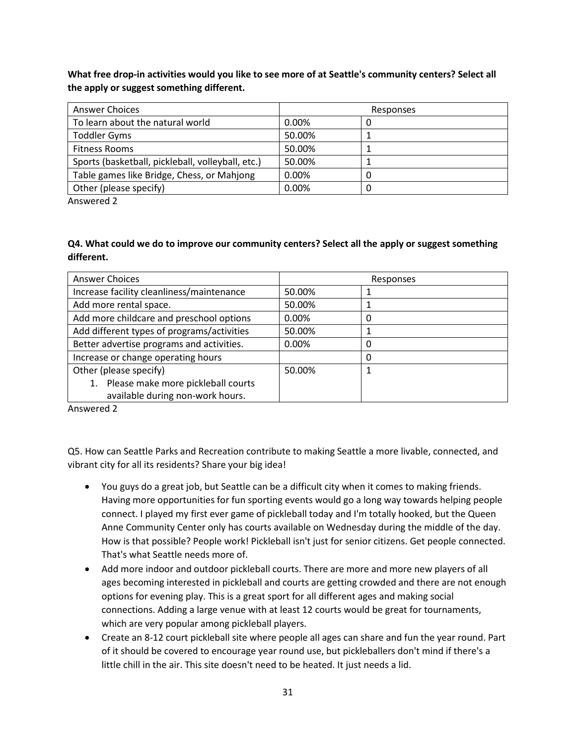**What free drop-in activities would you like to see more of at Seattle's community centers? Select all the apply or suggest something different.**

| <b>Answer Choices</b>                             | Responses |  |
|---------------------------------------------------|-----------|--|
| To learn about the natural world                  | $0.00\%$  |  |
| <b>Toddler Gyms</b>                               | 50.00%    |  |
| <b>Fitness Rooms</b>                              | 50.00%    |  |
| Sports (basketball, pickleball, volleyball, etc.) | 50.00%    |  |
| Table games like Bridge, Chess, or Mahjong        | $0.00\%$  |  |
| Other (please specify)                            | 0.00%     |  |

Answered 2

#### **Q4. What could we do to improve our community centers? Select all the apply or suggest something different.**

| <b>Answer Choices</b>                      | Responses |   |
|--------------------------------------------|-----------|---|
| Increase facility cleanliness/maintenance  | 50.00%    |   |
| Add more rental space.                     | 50.00%    |   |
| Add more childcare and preschool options   | 0.00%     | 0 |
| Add different types of programs/activities | 50.00%    |   |
| Better advertise programs and activities.  | 0.00%     | 0 |
| Increase or change operating hours         |           | 0 |
| Other (please specify)                     | 50.00%    |   |
| 1. Please make more pickleball courts      |           |   |
| available during non-work hours.           |           |   |

Answered 2

Q5. How can Seattle Parks and Recreation contribute to making Seattle a more livable, connected, and vibrant city for all its residents? Share your big idea!

- You guys do a great job, but Seattle can be a difficult city when it comes to making friends. Having more opportunities for fun sporting events would go a long way towards helping people connect. I played my first ever game of pickleball today and I'm totally hooked, but the Queen Anne Community Center only has courts available on Wednesday during the middle of the day. How is that possible? People work! Pickleball isn't just for senior citizens. Get people connected. That's what Seattle needs more of.
- Add more indoor and outdoor pickleball courts. There are more and more new players of all ages becoming interested in pickleball and courts are getting crowded and there are not enough options for evening play. This is a great sport for all different ages and making social connections. Adding a large venue with at least 12 courts would be great for tournaments, which are very popular among pickleball players.
- Create an 8-12 court pickleball site where people all ages can share and fun the year round. Part of it should be covered to encourage year round use, but pickleballers don't mind if there's a little chill in the air. This site doesn't need to be heated. It just needs a lid.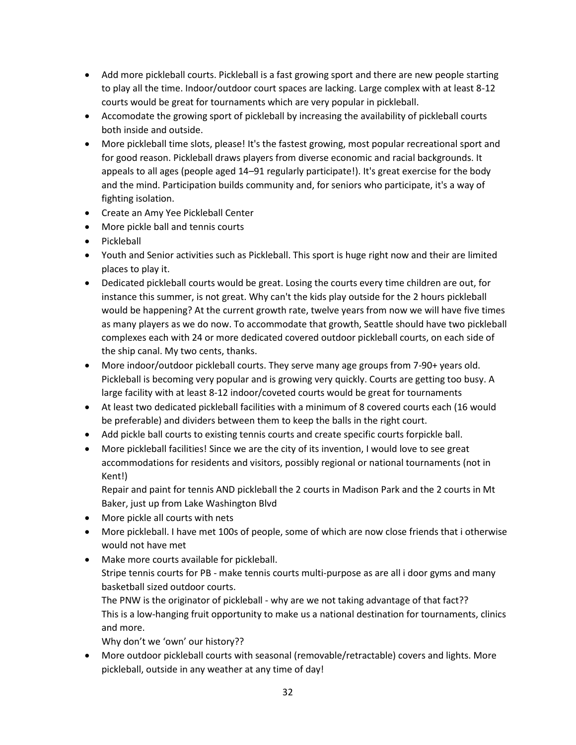- Add more pickleball courts. Pickleball is a fast growing sport and there are new people starting to play all the time. Indoor/outdoor court spaces are lacking. Large complex with at least 8-12 courts would be great for tournaments which are very popular in pickleball.
- Accomodate the growing sport of pickleball by increasing the availability of pickleball courts both inside and outside.
- More pickleball time slots, please! It's the fastest growing, most popular recreational sport and for good reason. Pickleball draws players from diverse economic and racial backgrounds. It appeals to all ages (people aged 14–91 regularly participate!). It's great exercise for the body and the mind. Participation builds community and, for seniors who participate, it's a way of fighting isolation.
- Create an Amy Yee Pickleball Center
- More pickle ball and tennis courts
- Pickleball
- Youth and Senior activities such as Pickleball. This sport is huge right now and their are limited places to play it.
- Dedicated pickleball courts would be great. Losing the courts every time children are out, for instance this summer, is not great. Why can't the kids play outside for the 2 hours pickleball would be happening? At the current growth rate, twelve years from now we will have five times as many players as we do now. To accommodate that growth, Seattle should have two pickleball complexes each with 24 or more dedicated covered outdoor pickleball courts, on each side of the ship canal. My two cents, thanks.
- More indoor/outdoor pickleball courts. They serve many age groups from 7-90+ years old. Pickleball is becoming very popular and is growing very quickly. Courts are getting too busy. A large facility with at least 8-12 indoor/coveted courts would be great for tournaments
- At least two dedicated pickleball facilities with a minimum of 8 covered courts each (16 would be preferable) and dividers between them to keep the balls in the right court.
- Add pickle ball courts to existing tennis courts and create specific courts forpickle ball.
- More pickleball facilities! Since we are the city of its invention, I would love to see great accommodations for residents and visitors, possibly regional or national tournaments (not in Kent!)

Repair and paint for tennis AND pickleball the 2 courts in Madison Park and the 2 courts in Mt Baker, just up from Lake Washington Blvd

- More pickle all courts with nets
- More pickleball. I have met 100s of people, some of which are now close friends that i otherwise would not have met
- Make more courts available for pickleball. Stripe tennis courts for PB - make tennis courts multi-purpose as are all i door gyms and many basketball sized outdoor courts.

The PNW is the originator of pickleball - why are we not taking advantage of that fact?? This is a low-hanging fruit opportunity to make us a national destination for tournaments, clinics and more.

Why don't we 'own' our history??

• More outdoor pickleball courts with seasonal (removable/retractable) covers and lights. More pickleball, outside in any weather at any time of day!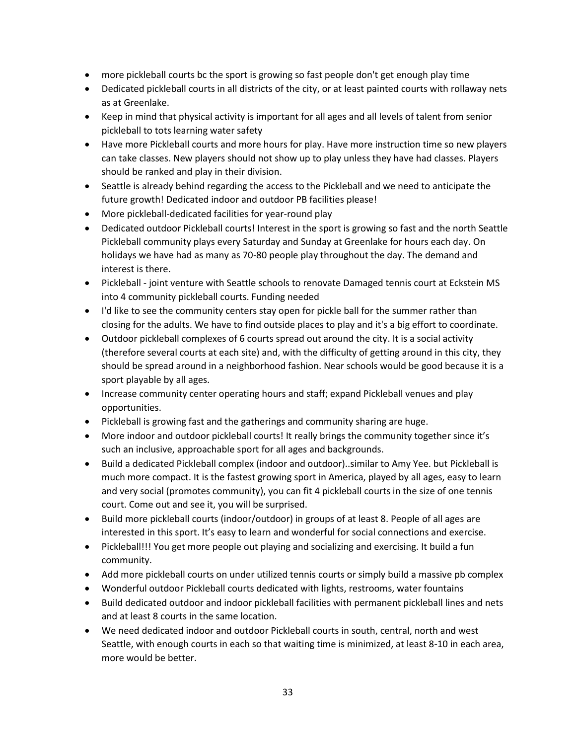- more pickleball courts bc the sport is growing so fast people don't get enough play time
- Dedicated pickleball courts in all districts of the city, or at least painted courts with rollaway nets as at Greenlake.
- Keep in mind that physical activity is important for all ages and all levels of talent from senior pickleball to tots learning water safety
- Have more Pickleball courts and more hours for play. Have more instruction time so new players can take classes. New players should not show up to play unless they have had classes. Players should be ranked and play in their division.
- Seattle is already behind regarding the access to the Pickleball and we need to anticipate the future growth! Dedicated indoor and outdoor PB facilities please!
- More pickleball-dedicated facilities for year-round play
- Dedicated outdoor Pickleball courts! Interest in the sport is growing so fast and the north Seattle Pickleball community plays every Saturday and Sunday at Greenlake for hours each day. On holidays we have had as many as 70-80 people play throughout the day. The demand and interest is there.
- Pickleball joint venture with Seattle schools to renovate Damaged tennis court at Eckstein MS into 4 community pickleball courts. Funding needed
- I'd like to see the community centers stay open for pickle ball for the summer rather than closing for the adults. We have to find outside places to play and it's a big effort to coordinate.
- Outdoor pickleball complexes of 6 courts spread out around the city. It is a social activity (therefore several courts at each site) and, with the difficulty of getting around in this city, they should be spread around in a neighborhood fashion. Near schools would be good because it is a sport playable by all ages.
- Increase community center operating hours and staff; expand Pickleball venues and play opportunities.
- Pickleball is growing fast and the gatherings and community sharing are huge.
- More indoor and outdoor pickleball courts! It really brings the community together since it's such an inclusive, approachable sport for all ages and backgrounds.
- Build a dedicated Pickleball complex (indoor and outdoor)..similar to Amy Yee. but Pickleball is much more compact. It is the fastest growing sport in America, played by all ages, easy to learn and very social (promotes community), you can fit 4 pickleball courts in the size of one tennis court. Come out and see it, you will be surprised.
- Build more pickleball courts (indoor/outdoor) in groups of at least 8. People of all ages are interested in this sport. It's easy to learn and wonderful for social connections and exercise.
- Pickleball!!! You get more people out playing and socializing and exercising. It build a fun community.
- Add more pickleball courts on under utilized tennis courts or simply build a massive pb complex
- Wonderful outdoor Pickleball courts dedicated with lights, restrooms, water fountains
- Build dedicated outdoor and indoor pickleball facilities with permanent pickleball lines and nets and at least 8 courts in the same location.
- We need dedicated indoor and outdoor Pickleball courts in south, central, north and west Seattle, with enough courts in each so that waiting time is minimized, at least 8-10 in each area, more would be better.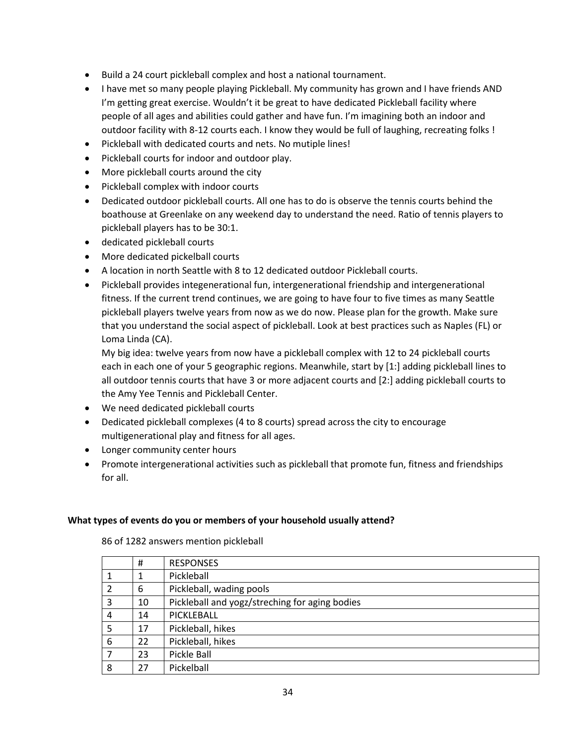- Build a 24 court pickleball complex and host a national tournament.
- I have met so many people playing Pickleball. My community has grown and I have friends AND I'm getting great exercise. Wouldn't it be great to have dedicated Pickleball facility where people of all ages and abilities could gather and have fun. I'm imagining both an indoor and outdoor facility with 8-12 courts each. I know they would be full of laughing, recreating folks !
- Pickleball with dedicated courts and nets. No mutiple lines!
- Pickleball courts for indoor and outdoor play.
- More pickleball courts around the city
- Pickleball complex with indoor courts
- Dedicated outdoor pickleball courts. All one has to do is observe the tennis courts behind the boathouse at Greenlake on any weekend day to understand the need. Ratio of tennis players to pickleball players has to be 30:1.
- dedicated pickleball courts
- More dedicated pickelball courts
- A location in north Seattle with 8 to 12 dedicated outdoor Pickleball courts.
- Pickleball provides integenerational fun, intergenerational friendship and intergenerational fitness. If the current trend continues, we are going to have four to five times as many Seattle pickleball players twelve years from now as we do now. Please plan for the growth. Make sure that you understand the social aspect of pickleball. Look at best practices such as Naples (FL) or Loma Linda (CA).

My big idea: twelve years from now have a pickleball complex with 12 to 24 pickleball courts each in each one of your 5 geographic regions. Meanwhile, start by [1:] adding pickleball lines to all outdoor tennis courts that have 3 or more adjacent courts and [2:] adding pickleball courts to the Amy Yee Tennis and Pickleball Center.

- We need dedicated pickleball courts
- Dedicated pickleball complexes (4 to 8 courts) spread across the city to encourage multigenerational play and fitness for all ages.
- Longer community center hours
- Promote intergenerational activities such as pickleball that promote fun, fitness and friendships for all.

### **What types of events do you or members of your household usually attend?**

| #  | <b>RESPONSES</b>                               |
|----|------------------------------------------------|
|    | Pickleball                                     |
| 6  | Pickleball, wading pools                       |
| 10 | Pickleball and yogz/streching for aging bodies |
| 14 | PICKLEBALL                                     |
| 17 | Pickleball, hikes                              |
| 22 | Pickleball, hikes                              |
| 23 | Pickle Ball                                    |
| 27 | Pickelball                                     |
|    |                                                |

86 of 1282 answers mention pickleball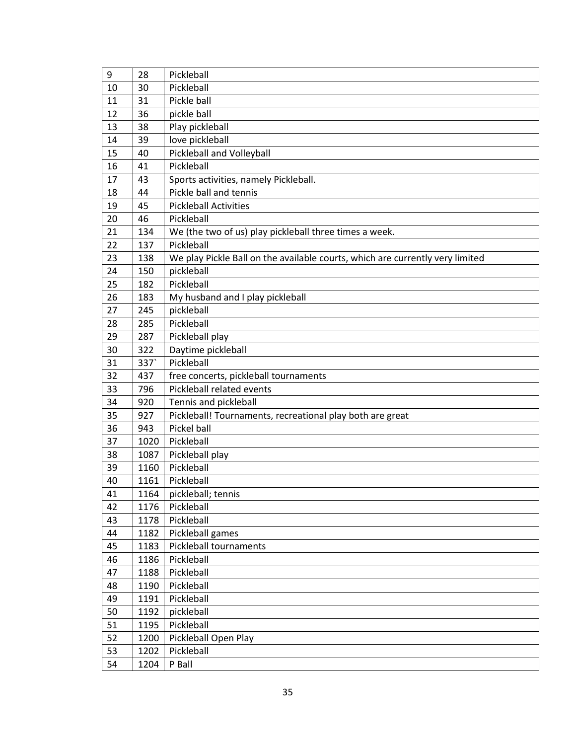| 9  | 28   | Pickleball                                                                    |
|----|------|-------------------------------------------------------------------------------|
| 10 | 30   | Pickleball                                                                    |
| 11 | 31   | Pickle ball                                                                   |
| 12 | 36   | pickle ball                                                                   |
| 13 | 38   | Play pickleball                                                               |
| 14 | 39   | love pickleball                                                               |
| 15 | 40   | Pickleball and Volleyball                                                     |
| 16 | 41   | Pickleball                                                                    |
| 17 | 43   | Sports activities, namely Pickleball.                                         |
| 18 | 44   | Pickle ball and tennis                                                        |
| 19 | 45   | <b>Pickleball Activities</b>                                                  |
| 20 | 46   | Pickleball                                                                    |
| 21 | 134  | We (the two of us) play pickleball three times a week.                        |
| 22 | 137  | Pickleball                                                                    |
| 23 | 138  | We play Pickle Ball on the available courts, which are currently very limited |
| 24 | 150  | pickleball                                                                    |
| 25 | 182  | Pickleball                                                                    |
| 26 | 183  | My husband and I play pickleball                                              |
| 27 | 245  | pickleball                                                                    |
| 28 | 285  | Pickleball                                                                    |
| 29 | 287  | Pickleball play                                                               |
| 30 | 322  | Daytime pickleball                                                            |
| 31 | 337  | Pickleball                                                                    |
| 32 | 437  | free concerts, pickleball tournaments                                         |
| 33 | 796  | Pickleball related events                                                     |
| 34 | 920  | Tennis and pickleball                                                         |
| 35 | 927  | Pickleball! Tournaments, recreational play both are great                     |
| 36 | 943  | Pickel ball                                                                   |
| 37 | 1020 | Pickleball                                                                    |
| 38 | 1087 | Pickleball play                                                               |
| 39 | 1160 | Pickleball                                                                    |
| 40 | 1161 | Pickleball                                                                    |
| 41 | 1164 | pickleball; tennis                                                            |
| 42 | 1176 | Pickleball                                                                    |
| 43 | 1178 | Pickleball                                                                    |
| 44 | 1182 | Pickleball games                                                              |
| 45 | 1183 | Pickleball tournaments                                                        |
| 46 | 1186 | Pickleball                                                                    |
| 47 | 1188 | Pickleball                                                                    |
| 48 | 1190 | Pickleball                                                                    |
| 49 | 1191 | Pickleball                                                                    |
| 50 | 1192 | pickleball                                                                    |
| 51 | 1195 | Pickleball                                                                    |
| 52 | 1200 | Pickleball Open Play                                                          |
| 53 | 1202 | Pickleball                                                                    |
| 54 | 1204 | P Ball                                                                        |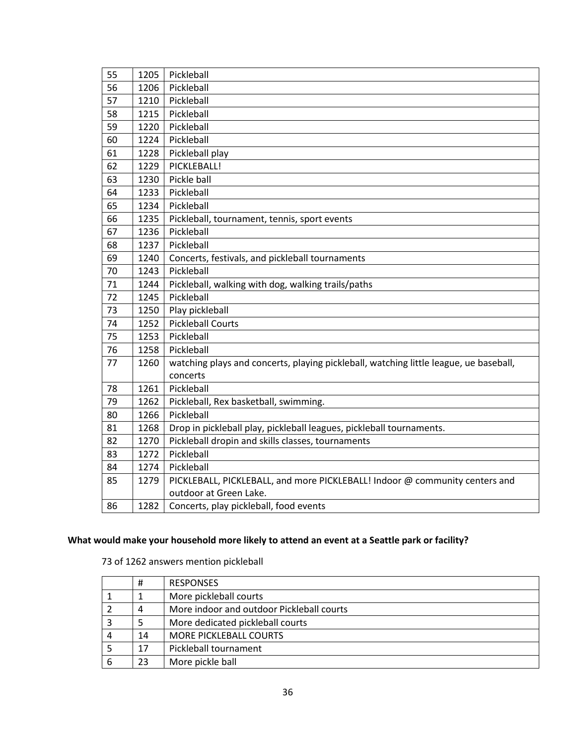| 55 | 1205 | Pickleball                                                                            |
|----|------|---------------------------------------------------------------------------------------|
| 56 | 1206 | Pickleball                                                                            |
| 57 | 1210 | Pickleball                                                                            |
| 58 | 1215 | Pickleball                                                                            |
| 59 | 1220 | Pickleball                                                                            |
| 60 | 1224 | Pickleball                                                                            |
| 61 | 1228 | Pickleball play                                                                       |
| 62 | 1229 | PICKLEBALL!                                                                           |
| 63 | 1230 | Pickle ball                                                                           |
| 64 | 1233 | Pickleball                                                                            |
| 65 | 1234 | Pickleball                                                                            |
| 66 | 1235 | Pickleball, tournament, tennis, sport events                                          |
| 67 | 1236 | Pickleball                                                                            |
| 68 | 1237 | Pickleball                                                                            |
| 69 | 1240 | Concerts, festivals, and pickleball tournaments                                       |
| 70 | 1243 | Pickleball                                                                            |
| 71 | 1244 | Pickleball, walking with dog, walking trails/paths                                    |
| 72 | 1245 | Pickleball                                                                            |
| 73 | 1250 | Play pickleball                                                                       |
| 74 | 1252 | <b>Pickleball Courts</b>                                                              |
| 75 | 1253 | Pickleball                                                                            |
| 76 | 1258 | Pickleball                                                                            |
| 77 | 1260 | watching plays and concerts, playing pickleball, watching little league, ue baseball, |
|    |      | concerts                                                                              |
| 78 | 1261 | Pickleball                                                                            |
| 79 | 1262 | Pickleball, Rex basketball, swimming.                                                 |
| 80 | 1266 | Pickleball                                                                            |
| 81 | 1268 | Drop in pickleball play, pickleball leagues, pickleball tournaments.                  |
| 82 | 1270 | Pickleball dropin and skills classes, tournaments                                     |
| 83 | 1272 | Pickleball                                                                            |
| 84 | 1274 | Pickleball                                                                            |
| 85 | 1279 | PICKLEBALL, PICKLEBALL, and more PICKLEBALL! Indoor @ community centers and           |
|    |      | outdoor at Green Lake.                                                                |
| 86 | 1282 | Concerts, play pickleball, food events                                                |

### **What would make your household more likely to attend an event at a Seattle park or facility?**

of 1262 answers mention pickleball

| #  | <b>RESPONSES</b>                          |
|----|-------------------------------------------|
| 1  | More pickleball courts                    |
| 4  | More indoor and outdoor Pickleball courts |
|    | More dedicated pickleball courts          |
| 14 | <b>MORE PICKLEBALL COURTS</b>             |
| 17 | Pickleball tournament                     |
| 23 | More pickle ball                          |
|    |                                           |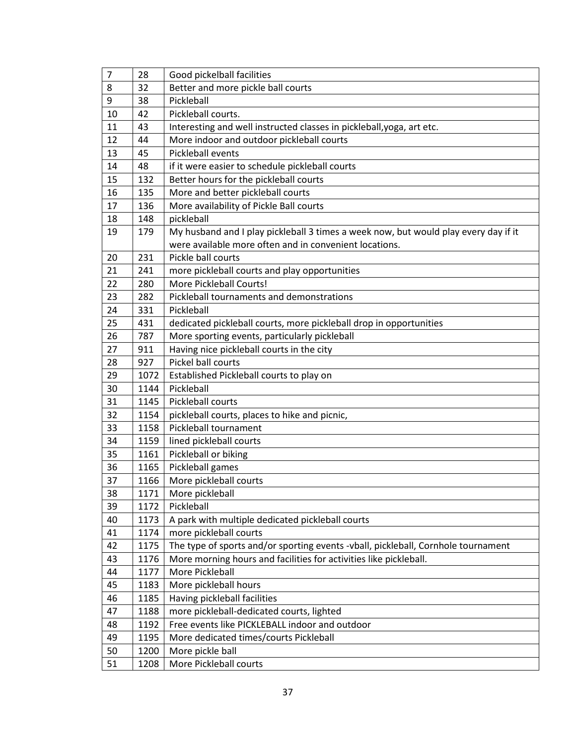| $\overline{7}$ | 28   | Good pickelball facilities                                                          |
|----------------|------|-------------------------------------------------------------------------------------|
| 8              | 32   | Better and more pickle ball courts                                                  |
| 9              | 38   | Pickleball                                                                          |
| 10             | 42   | Pickleball courts.                                                                  |
| 11             | 43   | Interesting and well instructed classes in pickleball, yoga, art etc.               |
| 12             | 44   | More indoor and outdoor pickleball courts                                           |
| 13             | 45   | Pickleball events                                                                   |
| 14             | 48   | if it were easier to schedule pickleball courts                                     |
| 15             | 132  | Better hours for the pickleball courts                                              |
| 16             | 135  | More and better pickleball courts                                                   |
| 17             | 136  | More availability of Pickle Ball courts                                             |
| 18             | 148  | pickleball                                                                          |
| 19             | 179  | My husband and I play pickleball 3 times a week now, but would play every day if it |
|                |      | were available more often and in convenient locations.                              |
| 20             | 231  | Pickle ball courts                                                                  |
| 21             | 241  | more pickleball courts and play opportunities                                       |
| 22             | 280  | More Pickleball Courts!                                                             |
| 23             | 282  | Pickleball tournaments and demonstrations                                           |
| 24             | 331  | Pickleball                                                                          |
| 25             | 431  | dedicated pickleball courts, more pickleball drop in opportunities                  |
| 26             | 787  | More sporting events, particularly pickleball                                       |
| 27             | 911  | Having nice pickleball courts in the city                                           |
| 28             | 927  | Pickel ball courts                                                                  |
| 29             | 1072 | Established Pickleball courts to play on                                            |
| 30             | 1144 | Pickleball                                                                          |
| 31             | 1145 | Pickleball courts                                                                   |
| 32             | 1154 | pickleball courts, places to hike and picnic,                                       |
| 33             | 1158 | Pickleball tournament                                                               |
| 34             | 1159 | lined pickleball courts                                                             |
| 35             | 1161 | Pickleball or biking                                                                |
| 36             | 1165 | Pickleball games                                                                    |
| 37             | 1166 | More pickleball courts                                                              |
| 38             | 1171 | More pickleball                                                                     |
| 39             | 1172 | Pickleball                                                                          |
| 40             | 1173 | A park with multiple dedicated pickleball courts                                    |
| 41             | 1174 | more pickleball courts                                                              |
| 42             | 1175 | The type of sports and/or sporting events -vball, pickleball, Cornhole tournament   |
| 43             | 1176 | More morning hours and facilities for activities like pickleball.                   |
| 44             | 1177 | More Pickleball                                                                     |
| 45             | 1183 | More pickleball hours                                                               |
| 46             | 1185 | Having pickleball facilities                                                        |
| 47             | 1188 | more pickleball-dedicated courts, lighted                                           |
| 48             | 1192 | Free events like PICKLEBALL indoor and outdoor                                      |
| 49             | 1195 | More dedicated times/courts Pickleball                                              |
| 50             | 1200 | More pickle ball                                                                    |
| 51             | 1208 | More Pickleball courts                                                              |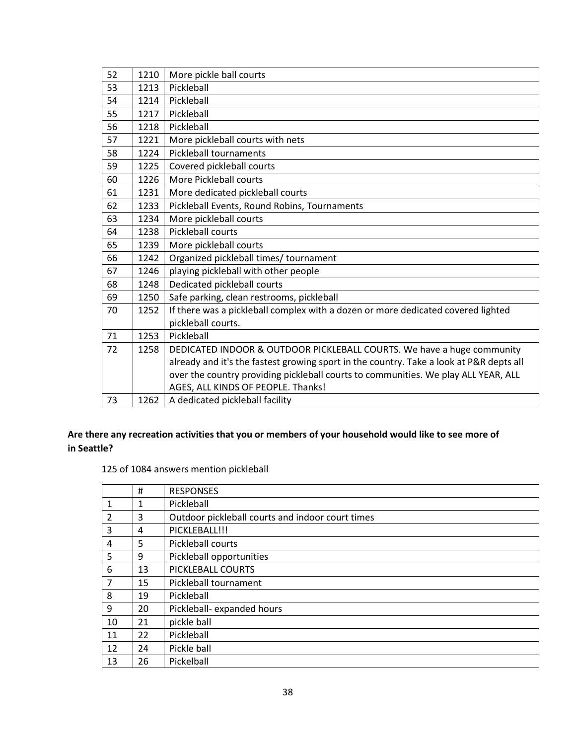| 52 | 1210 | More pickle ball courts                                                                 |
|----|------|-----------------------------------------------------------------------------------------|
| 53 | 1213 | Pickleball                                                                              |
| 54 | 1214 | Pickleball                                                                              |
| 55 | 1217 | Pickleball                                                                              |
| 56 | 1218 | Pickleball                                                                              |
| 57 | 1221 | More pickleball courts with nets                                                        |
| 58 | 1224 | <b>Pickleball tournaments</b>                                                           |
| 59 | 1225 | Covered pickleball courts                                                               |
| 60 | 1226 | More Pickleball courts                                                                  |
| 61 | 1231 | More dedicated pickleball courts                                                        |
| 62 | 1233 | Pickleball Events, Round Robins, Tournaments                                            |
| 63 | 1234 | More pickleball courts                                                                  |
| 64 | 1238 | <b>Pickleball courts</b>                                                                |
| 65 | 1239 | More pickleball courts                                                                  |
| 66 | 1242 | Organized pickleball times/ tournament                                                  |
| 67 | 1246 | playing pickleball with other people                                                    |
| 68 | 1248 | Dedicated pickleball courts                                                             |
| 69 | 1250 | Safe parking, clean restrooms, pickleball                                               |
| 70 | 1252 | If there was a pickleball complex with a dozen or more dedicated covered lighted        |
|    |      | pickleball courts.                                                                      |
| 71 | 1253 | Pickleball                                                                              |
| 72 | 1258 | DEDICATED INDOOR & OUTDOOR PICKLEBALL COURTS. We have a huge community                  |
|    |      | already and it's the fastest growing sport in the country. Take a look at P&R depts all |
|    |      | over the country providing pickleball courts to communities. We play ALL YEAR, ALL      |
|    |      | AGES, ALL KINDS OF PEOPLE. Thanks!                                                      |
| 73 | 1262 | A dedicated pickleball facility                                                         |

### **Are there any recreation activities that you or members of your household would like to see more of in Seattle?**

of 1084 answers mention pickleball

|                | #            | <b>RESPONSES</b>                                 |
|----------------|--------------|--------------------------------------------------|
| $\mathbf{1}$   | $\mathbf{1}$ | Pickleball                                       |
| $\overline{2}$ | 3            | Outdoor pickleball courts and indoor court times |
| 3              | 4            | PICKLEBALL!!!                                    |
| $\overline{4}$ | 5            | Pickleball courts                                |
| 5              | 9            | Pickleball opportunities                         |
| 6              | 13           | PICKLEBALL COURTS                                |
| $\overline{7}$ | 15           | Pickleball tournament                            |
| 8              | 19           | Pickleball                                       |
| 9              | 20           | Pickleball- expanded hours                       |
| 10             | 21           | pickle ball                                      |
| 11             | 22           | Pickleball                                       |
| 12             | 24           | Pickle ball                                      |
| 13             | 26           | Pickelball                                       |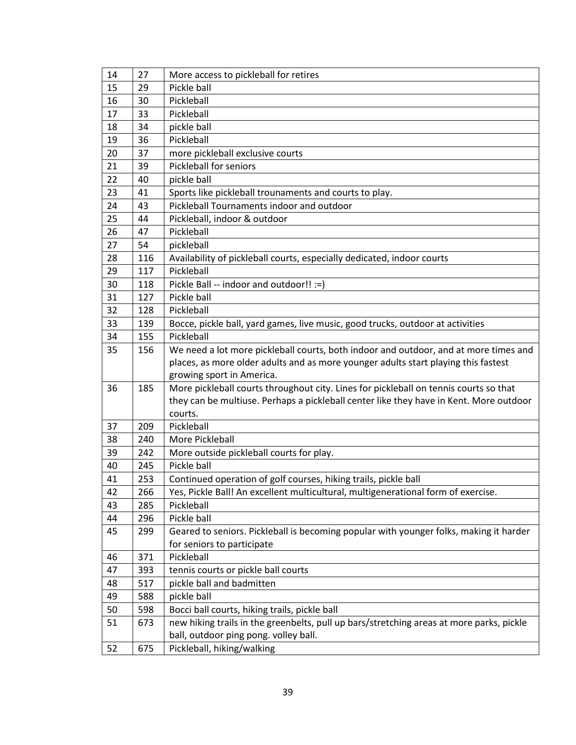| 14 | 27  | More access to pickleball for retires                                                    |
|----|-----|------------------------------------------------------------------------------------------|
| 15 | 29  | Pickle ball                                                                              |
| 16 | 30  | Pickleball                                                                               |
| 17 | 33  | Pickleball                                                                               |
| 18 | 34  | pickle ball                                                                              |
| 19 | 36  | Pickleball                                                                               |
| 20 | 37  | more pickleball exclusive courts                                                         |
| 21 | 39  | <b>Pickleball for seniors</b>                                                            |
| 22 | 40  | pickle ball                                                                              |
| 23 | 41  | Sports like pickleball trounaments and courts to play.                                   |
| 24 | 43  | Pickleball Tournaments indoor and outdoor                                                |
| 25 | 44  | Pickleball, indoor & outdoor                                                             |
| 26 | 47  | Pickleball                                                                               |
| 27 | 54  | pickleball                                                                               |
| 28 | 116 | Availability of pickleball courts, especially dedicated, indoor courts                   |
| 29 | 117 | Pickleball                                                                               |
| 30 | 118 | Pickle Ball -- indoor and outdoor!! :=)                                                  |
| 31 | 127 | Pickle ball                                                                              |
| 32 | 128 | Pickleball                                                                               |
| 33 | 139 | Bocce, pickle ball, yard games, live music, good trucks, outdoor at activities           |
| 34 | 155 | Pickleball                                                                               |
| 35 | 156 | We need a lot more pickleball courts, both indoor and outdoor, and at more times and     |
|    |     | places, as more older adults and as more younger adults start playing this fastest       |
|    |     | growing sport in America.                                                                |
| 36 | 185 | More pickleball courts throughout city. Lines for pickleball on tennis courts so that    |
|    |     | they can be multiuse. Perhaps a pickleball center like they have in Kent. More outdoor   |
|    |     | courts.                                                                                  |
| 37 | 209 | Pickleball                                                                               |
| 38 | 240 | More Pickleball                                                                          |
| 39 | 242 | More outside pickleball courts for play.                                                 |
| 40 | 245 | Pickle ball                                                                              |
| 41 | 253 | Continued operation of golf courses, hiking trails, pickle ball                          |
| 42 | 266 | Yes, Pickle Ball! An excellent multicultural, multigenerational form of exercise.        |
| 43 | 285 | Pickleball                                                                               |
| 44 | 296 | Pickle ball                                                                              |
| 45 | 299 | Geared to seniors. Pickleball is becoming popular with younger folks, making it harder   |
|    |     | for seniors to participate                                                               |
| 46 | 371 | Pickleball                                                                               |
| 47 | 393 | tennis courts or pickle ball courts                                                      |
| 48 | 517 | pickle ball and badmitten                                                                |
| 49 | 588 | pickle ball                                                                              |
| 50 | 598 | Bocci ball courts, hiking trails, pickle ball                                            |
| 51 | 673 | new hiking trails in the greenbelts, pull up bars/stretching areas at more parks, pickle |
|    |     | ball, outdoor ping pong. volley ball.                                                    |
| 52 | 675 | Pickleball, hiking/walking                                                               |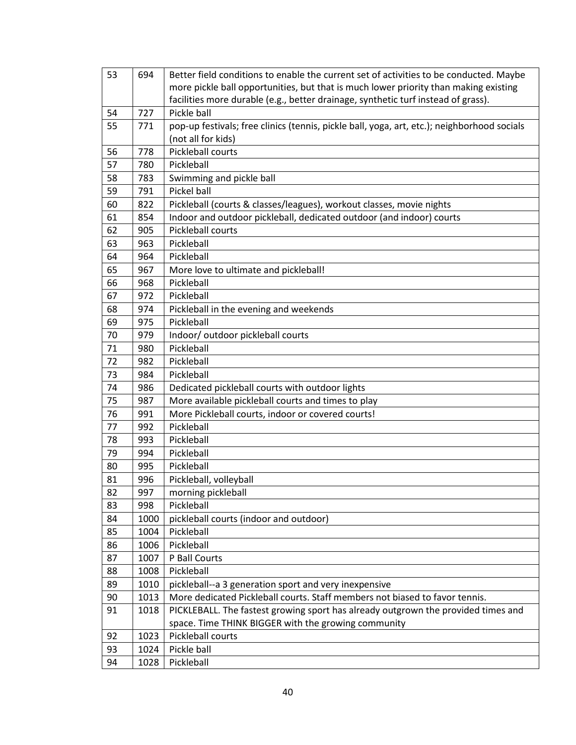| 53 | 694  | Better field conditions to enable the current set of activities to be conducted. Maybe      |
|----|------|---------------------------------------------------------------------------------------------|
|    |      | more pickle ball opportunities, but that is much lower priority than making existing        |
|    |      | facilities more durable (e.g., better drainage, synthetic turf instead of grass).           |
| 54 | 727  | Pickle ball                                                                                 |
| 55 | 771  | pop-up festivals; free clinics (tennis, pickle ball, yoga, art, etc.); neighborhood socials |
|    |      | (not all for kids)                                                                          |
| 56 | 778  | Pickleball courts                                                                           |
| 57 | 780  | Pickleball                                                                                  |
| 58 | 783  | Swimming and pickle ball                                                                    |
| 59 | 791  | Pickel ball                                                                                 |
| 60 | 822  | Pickleball (courts & classes/leagues), workout classes, movie nights                        |
| 61 | 854  | Indoor and outdoor pickleball, dedicated outdoor (and indoor) courts                        |
| 62 | 905  | Pickleball courts                                                                           |
| 63 | 963  | Pickleball                                                                                  |
| 64 | 964  | Pickleball                                                                                  |
| 65 | 967  | More love to ultimate and pickleball!                                                       |
| 66 | 968  | Pickleball                                                                                  |
| 67 | 972  | Pickleball                                                                                  |
| 68 | 974  | Pickleball in the evening and weekends                                                      |
| 69 | 975  | Pickleball                                                                                  |
| 70 | 979  | Indoor/ outdoor pickleball courts                                                           |
| 71 | 980  | Pickleball                                                                                  |
| 72 | 982  | Pickleball                                                                                  |
| 73 | 984  | Pickleball                                                                                  |
| 74 | 986  | Dedicated pickleball courts with outdoor lights                                             |
| 75 | 987  | More available pickleball courts and times to play                                          |
| 76 | 991  | More Pickleball courts, indoor or covered courts!                                           |
| 77 | 992  | Pickleball                                                                                  |
| 78 | 993  | Pickleball                                                                                  |
| 79 | 994  | Pickleball                                                                                  |
| 80 | 995  | Pickleball                                                                                  |
| 81 | 996  | Pickleball, volleyball                                                                      |
| 82 | 997  | morning pickleball                                                                          |
| 83 | 998  | Pickleball                                                                                  |
| 84 | 1000 | pickleball courts (indoor and outdoor)                                                      |
| 85 | 1004 | Pickleball                                                                                  |
| 86 | 1006 | Pickleball                                                                                  |
| 87 | 1007 | P Ball Courts                                                                               |
| 88 | 1008 | Pickleball                                                                                  |
| 89 | 1010 | pickleball--a 3 generation sport and very inexpensive                                       |
| 90 | 1013 | More dedicated Pickleball courts. Staff members not biased to favor tennis.                 |
| 91 | 1018 | PICKLEBALL. The fastest growing sport has already outgrown the provided times and           |
|    |      | space. Time THINK BIGGER with the growing community                                         |
| 92 | 1023 | Pickleball courts                                                                           |
| 93 | 1024 | Pickle ball                                                                                 |
| 94 | 1028 | Pickleball                                                                                  |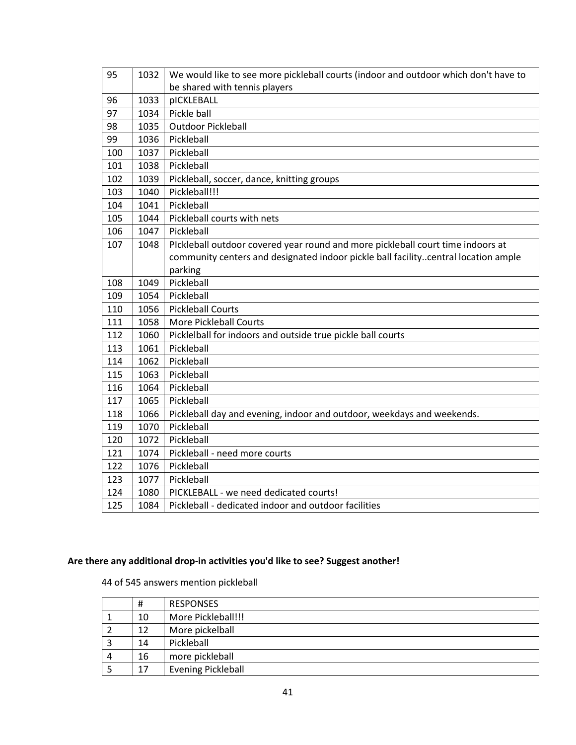| 95  | 1032 | We would like to see more pickleball courts (indoor and outdoor which don't have to |
|-----|------|-------------------------------------------------------------------------------------|
|     |      | be shared with tennis players                                                       |
| 96  | 1033 | pICKLEBALL                                                                          |
| 97  | 1034 | Pickle ball                                                                         |
| 98  | 1035 | <b>Outdoor Pickleball</b>                                                           |
| 99  | 1036 | Pickleball                                                                          |
| 100 | 1037 | Pickleball                                                                          |
| 101 | 1038 | Pickleball                                                                          |
| 102 | 1039 | Pickleball, soccer, dance, knitting groups                                          |
| 103 | 1040 | Pickleball!!!                                                                       |
| 104 | 1041 | Pickleball                                                                          |
| 105 | 1044 | Pickleball courts with nets                                                         |
| 106 | 1047 | Pickleball                                                                          |
| 107 | 1048 | Plckleball outdoor covered year round and more pickleball court time indoors at     |
|     |      | community centers and designated indoor pickle ball facilitycentral location ample  |
|     |      | parking                                                                             |
| 108 | 1049 | Pickleball                                                                          |
| 109 | 1054 | Pickleball                                                                          |
| 110 | 1056 | <b>Pickleball Courts</b>                                                            |
| 111 | 1058 | <b>More Pickleball Courts</b>                                                       |
| 112 | 1060 | Picklelball for indoors and outside true pickle ball courts                         |
| 113 | 1061 | Pickleball                                                                          |
| 114 | 1062 | Pickleball                                                                          |
| 115 | 1063 | Pickleball                                                                          |
| 116 | 1064 | Pickleball                                                                          |
| 117 | 1065 | Pickleball                                                                          |
| 118 | 1066 | Pickleball day and evening, indoor and outdoor, weekdays and weekends.              |
| 119 | 1070 | Pickleball                                                                          |
| 120 | 1072 | Pickleball                                                                          |
| 121 | 1074 | Pickleball - need more courts                                                       |
| 122 | 1076 | Pickleball                                                                          |
| 123 | 1077 | Pickleball                                                                          |
| 124 | 1080 | PICKLEBALL - we need dedicated courts!                                              |
| 125 | 1084 | Pickleball - dedicated indoor and outdoor facilities                                |

### **Are there any additional drop-in activities you'd like to see? Suggest another!**

of 545 answers mention pickleball

|   | #  | <b>RESPONSES</b>          |
|---|----|---------------------------|
|   | 10 | More Pickleball!!!        |
|   | 12 | More pickelball           |
|   | 14 | Pickleball                |
| 4 | 16 | more pickleball           |
|   | 17 | <b>Evening Pickleball</b> |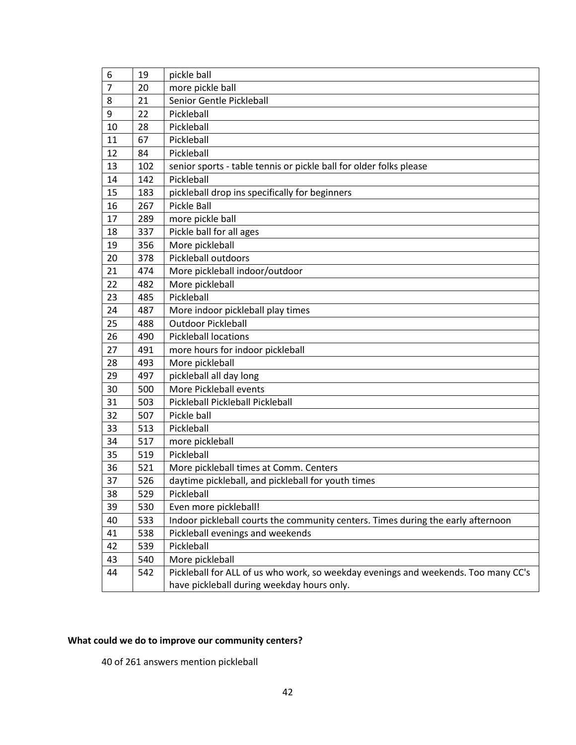| 6              | 19  | pickle ball                                                                        |
|----------------|-----|------------------------------------------------------------------------------------|
| $\overline{7}$ | 20  | more pickle ball                                                                   |
| 8              | 21  | Senior Gentle Pickleball                                                           |
| 9              | 22  | Pickleball                                                                         |
| 10             | 28  | Pickleball                                                                         |
| 11             | 67  | Pickleball                                                                         |
| 12             | 84  | Pickleball                                                                         |
| 13             | 102 | senior sports - table tennis or pickle ball for older folks please                 |
| 14             | 142 | Pickleball                                                                         |
| 15             | 183 | pickleball drop ins specifically for beginners                                     |
| 16             | 267 | Pickle Ball                                                                        |
| 17             | 289 | more pickle ball                                                                   |
| 18             | 337 | Pickle ball for all ages                                                           |
| 19             | 356 | More pickleball                                                                    |
| 20             | 378 | Pickleball outdoors                                                                |
| 21             | 474 | More pickleball indoor/outdoor                                                     |
| 22             | 482 | More pickleball                                                                    |
| 23             | 485 | Pickleball                                                                         |
| 24             | 487 | More indoor pickleball play times                                                  |
| 25             | 488 | <b>Outdoor Pickleball</b>                                                          |
| 26             | 490 | <b>Pickleball locations</b>                                                        |
| 27             | 491 | more hours for indoor pickleball                                                   |
| 28             | 493 | More pickleball                                                                    |
| 29             | 497 | pickleball all day long                                                            |
| 30             | 500 | More Pickleball events                                                             |
| 31             | 503 | Pickleball Pickleball Pickleball                                                   |
| 32             | 507 | Pickle ball                                                                        |
| 33             | 513 | Pickleball                                                                         |
| 34             | 517 | more pickleball                                                                    |
| 35             | 519 | Pickleball                                                                         |
| 36             | 521 | More pickleball times at Comm. Centers                                             |
| 37             | 526 | daytime pickleball, and pickleball for youth times                                 |
| 38             | 529 | Pickleball                                                                         |
| 39             | 530 | Even more pickleball!                                                              |
| 40             | 533 | Indoor pickleball courts the community centers. Times during the early afternoon   |
| 41             | 538 | Pickleball evenings and weekends                                                   |
| 42             | 539 | Pickleball                                                                         |
| 43             | 540 | More pickleball                                                                    |
| 44             | 542 | Pickleball for ALL of us who work, so weekday evenings and weekends. Too many CC's |
|                |     | have pickleball during weekday hours only.                                         |

### **What could we do to improve our community centers?**

of 261 answers mention pickleball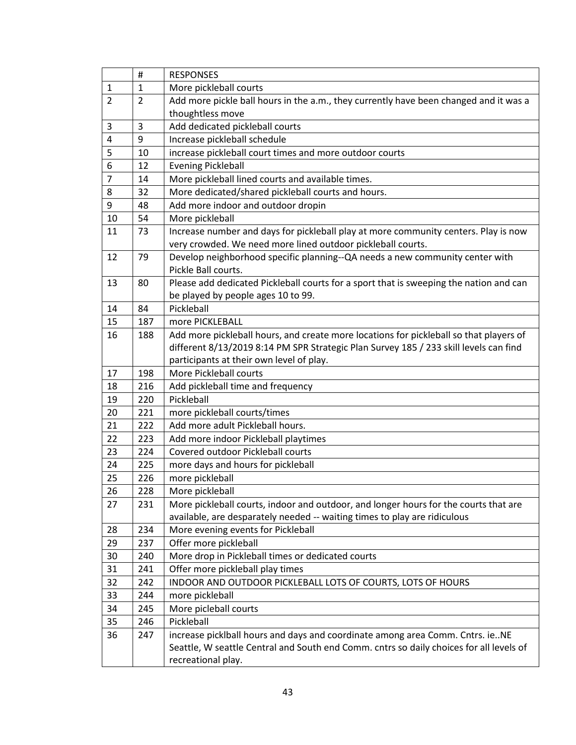|                | #              | <b>RESPONSES</b>                                                                        |
|----------------|----------------|-----------------------------------------------------------------------------------------|
| $\mathbf{1}$   | $\mathbf{1}$   | More pickleball courts                                                                  |
| 2              | $\overline{2}$ | Add more pickle ball hours in the a.m., they currently have been changed and it was a   |
|                |                | thoughtless move                                                                        |
| 3              | 3              | Add dedicated pickleball courts                                                         |
| 4              | 9              | Increase pickleball schedule                                                            |
| 5              | 10             | increase pickleball court times and more outdoor courts                                 |
| 6              | 12             | <b>Evening Pickleball</b>                                                               |
| $\overline{7}$ | 14             | More pickleball lined courts and available times.                                       |
| 8              | 32             | More dedicated/shared pickleball courts and hours.                                      |
| 9              | 48             | Add more indoor and outdoor dropin                                                      |
| 10             | 54             | More pickleball                                                                         |
| 11             | 73             | Increase number and days for pickleball play at more community centers. Play is now     |
|                |                | very crowded. We need more lined outdoor pickleball courts.                             |
| 12             | 79             | Develop neighborhood specific planning--QA needs a new community center with            |
|                |                | Pickle Ball courts.                                                                     |
| 13             | 80             | Please add dedicated Pickleball courts for a sport that is sweeping the nation and can  |
|                |                | be played by people ages 10 to 99.                                                      |
| 14             | 84             | Pickleball                                                                              |
| 15             | 187            | more PICKLEBALL                                                                         |
| 16             | 188            | Add more pickleball hours, and create more locations for pickleball so that players of  |
|                |                | different 8/13/2019 8:14 PM SPR Strategic Plan Survey 185 / 233 skill levels can find   |
|                |                | participants at their own level of play.                                                |
| 17             | 198            | More Pickleball courts                                                                  |
| 18             | 216            | Add pickleball time and frequency                                                       |
| 19             | 220            | Pickleball                                                                              |
| 20             | 221            | more pickleball courts/times                                                            |
| 21             | 222            | Add more adult Pickleball hours.                                                        |
| 22             | 223            | Add more indoor Pickleball playtimes                                                    |
| 23             | 224            | Covered outdoor Pickleball courts                                                       |
| 24             | 225            | more days and hours for pickleball                                                      |
| 25             | 226            | more pickleball                                                                         |
| 26             | 228            | More pickleball                                                                         |
| 27             | 231            | More pickleball courts, indoor and outdoor, and longer hours for the courts that are    |
|                |                | available, are desparately needed -- waiting times to play are ridiculous               |
| 28             | 234            | More evening events for Pickleball                                                      |
| 29             | 237            | Offer more pickleball                                                                   |
| 30             | 240            | More drop in Pickleball times or dedicated courts                                       |
| 31             | 241            | Offer more pickleball play times                                                        |
| 32             | 242            | INDOOR AND OUTDOOR PICKLEBALL LOTS OF COURTS, LOTS OF HOURS                             |
| 33             | 244            | more pickleball                                                                         |
| 34             | 245            | More picleball courts                                                                   |
| 35             | 246            | Pickleball                                                                              |
| 36             | 247            | increase picklball hours and days and coordinate among area Comm. Cntrs. ieNE           |
|                |                | Seattle, W seattle Central and South end Comm. cntrs so daily choices for all levels of |
|                |                | recreational play.                                                                      |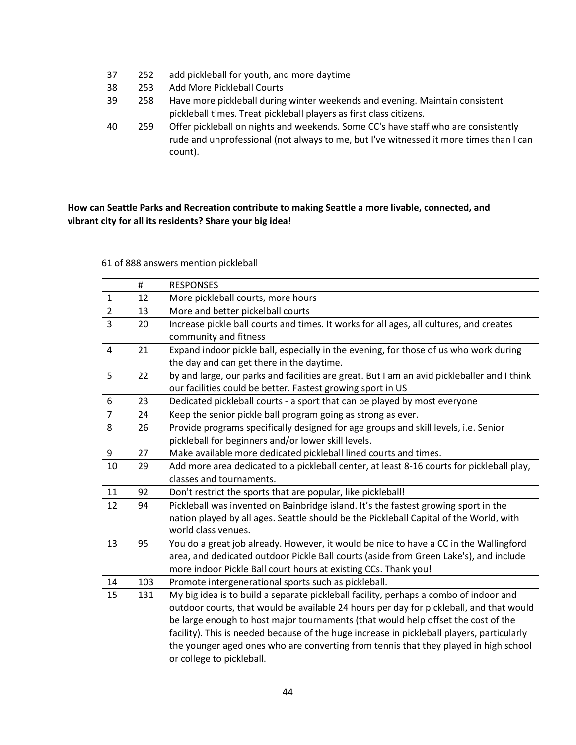| 37 | 252 | add pickleball for youth, and more daytime                                             |
|----|-----|----------------------------------------------------------------------------------------|
| 38 | 253 | <b>Add More Pickleball Courts</b>                                                      |
| 39 | 258 | Have more pickleball during winter weekends and evening. Maintain consistent           |
|    |     | pickleball times. Treat pickleball players as first class citizens.                    |
| 40 | 259 | Offer pickleball on nights and weekends. Some CC's have staff who are consistently     |
|    |     | rude and unprofessional (not always to me, but I've witnessed it more times than I can |
|    |     | count).                                                                                |

### **How can Seattle Parks and Recreation contribute to making Seattle a more livable, connected, and vibrant city for all its residents? Share your big idea!**

#### 61 of 888 answers mention pickleball

|                | #   | <b>RESPONSES</b>                                                                            |
|----------------|-----|---------------------------------------------------------------------------------------------|
| $\mathbf{1}$   | 12  | More pickleball courts, more hours                                                          |
| $\overline{2}$ | 13  | More and better pickelball courts                                                           |
| 3              | 20  | Increase pickle ball courts and times. It works for all ages, all cultures, and creates     |
|                |     | community and fitness                                                                       |
| $\overline{4}$ | 21  | Expand indoor pickle ball, especially in the evening, for those of us who work during       |
|                |     | the day and can get there in the daytime.                                                   |
| 5              | 22  | by and large, our parks and facilities are great. But I am an avid pickleballer and I think |
|                |     | our facilities could be better. Fastest growing sport in US                                 |
| 6              | 23  | Dedicated pickleball courts - a sport that can be played by most everyone                   |
| $\overline{7}$ | 24  | Keep the senior pickle ball program going as strong as ever.                                |
| 8              | 26  | Provide programs specifically designed for age groups and skill levels, i.e. Senior         |
|                |     | pickleball for beginners and/or lower skill levels.                                         |
| 9              | 27  | Make available more dedicated pickleball lined courts and times.                            |
| 10             | 29  | Add more area dedicated to a pickleball center, at least 8-16 courts for pickleball play,   |
|                |     | classes and tournaments.                                                                    |
| 11             | 92  | Don't restrict the sports that are popular, like pickleball!                                |
| 12             | 94  | Pickleball was invented on Bainbridge island. It's the fastest growing sport in the         |
|                |     | nation played by all ages. Seattle should be the Pickleball Capital of the World, with      |
|                |     | world class venues.                                                                         |
| 13             | 95  | You do a great job already. However, it would be nice to have a CC in the Wallingford       |
|                |     | area, and dedicated outdoor Pickle Ball courts (aside from Green Lake's), and include       |
|                |     | more indoor Pickle Ball court hours at existing CCs. Thank you!                             |
| 14             | 103 | Promote intergenerational sports such as pickleball.                                        |
| 15             | 131 | My big idea is to build a separate pickleball facility, perhaps a combo of indoor and       |
|                |     | outdoor courts, that would be available 24 hours per day for pickleball, and that would     |
|                |     | be large enough to host major tournaments (that would help offset the cost of the           |
|                |     | facility). This is needed because of the huge increase in pickleball players, particularly  |
|                |     | the younger aged ones who are converting from tennis that they played in high school        |
|                |     | or college to pickleball.                                                                   |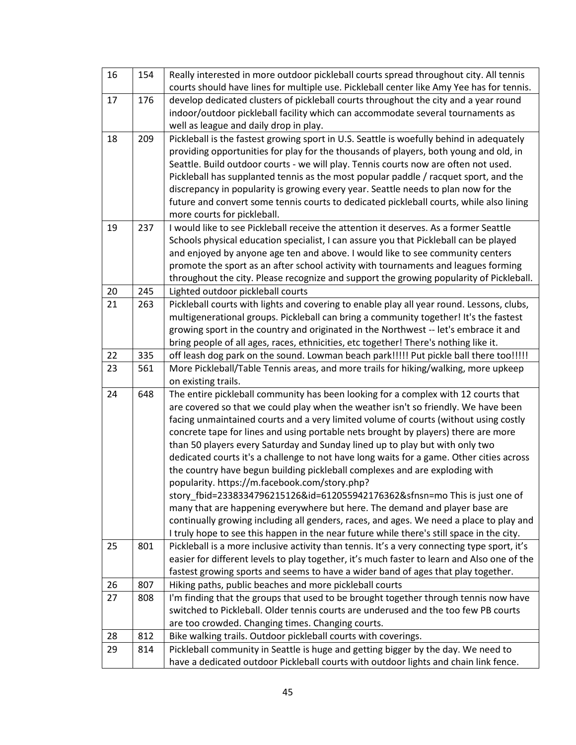| 16 | 154 | Really interested in more outdoor pickleball courts spread throughout city. All tennis       |
|----|-----|----------------------------------------------------------------------------------------------|
|    |     | courts should have lines for multiple use. Pickleball center like Amy Yee has for tennis.    |
| 17 | 176 | develop dedicated clusters of pickleball courts throughout the city and a year round         |
|    |     | indoor/outdoor pickleball facility which can accommodate several tournaments as              |
|    |     | well as league and daily drop in play.                                                       |
| 18 | 209 | Pickleball is the fastest growing sport in U.S. Seattle is woefully behind in adequately     |
|    |     | providing opportunities for play for the thousands of players, both young and old, in        |
|    |     | Seattle. Build outdoor courts - we will play. Tennis courts now are often not used.          |
|    |     | Pickleball has supplanted tennis as the most popular paddle / racquet sport, and the         |
|    |     | discrepancy in popularity is growing every year. Seattle needs to plan now for the           |
|    |     | future and convert some tennis courts to dedicated pickleball courts, while also lining      |
|    |     | more courts for pickleball.                                                                  |
| 19 | 237 | I would like to see Pickleball receive the attention it deserves. As a former Seattle        |
|    |     | Schools physical education specialist, I can assure you that Pickleball can be played        |
|    |     | and enjoyed by anyone age ten and above. I would like to see community centers               |
|    |     | promote the sport as an after school activity with tournaments and leagues forming           |
|    |     | throughout the city. Please recognize and support the growing popularity of Pickleball.      |
| 20 | 245 | Lighted outdoor pickleball courts                                                            |
| 21 | 263 | Pickleball courts with lights and covering to enable play all year round. Lessons, clubs,    |
|    |     | multigenerational groups. Pickleball can bring a community together! It's the fastest        |
|    |     | growing sport in the country and originated in the Northwest -- let's embrace it and         |
|    |     | bring people of all ages, races, ethnicities, etc together! There's nothing like it.         |
| 22 | 335 | off leash dog park on the sound. Lowman beach park!!!!! Put pickle ball there too!!!!!       |
| 23 | 561 | More Pickleball/Table Tennis areas, and more trails for hiking/walking, more upkeep          |
|    |     | on existing trails.                                                                          |
| 24 | 648 | The entire pickleball community has been looking for a complex with 12 courts that           |
|    |     | are covered so that we could play when the weather isn't so friendly. We have been           |
|    |     | facing unmaintained courts and a very limited volume of courts (without using costly         |
|    |     | concrete tape for lines and using portable nets brought by players) there are more           |
|    |     | than 50 players every Saturday and Sunday lined up to play but with only two                 |
|    |     | dedicated courts it's a challenge to not have long waits for a game. Other cities across     |
|    |     | the country have begun building pickleball complexes and are exploding with                  |
|    |     | popularity. https://m.facebook.com/story.php?                                                |
|    |     | story_fbid=2338334796215126&id=612055942176362&sfnsn=mo This is just one of                  |
|    |     | many that are happening everywhere but here. The demand and player base are                  |
|    |     | continually growing including all genders, races, and ages. We need a place to play and      |
|    |     | I truly hope to see this happen in the near future while there's still space in the city.    |
| 25 | 801 | Pickleball is a more inclusive activity than tennis. It's a very connecting type sport, it's |
|    |     | easier for different levels to play together, it's much faster to learn and Also one of the  |
|    |     | fastest growing sports and seems to have a wider band of ages that play together.            |
| 26 | 807 | Hiking paths, public beaches and more pickleball courts                                      |
| 27 | 808 | I'm finding that the groups that used to be brought together through tennis now have         |
|    |     | switched to Pickleball. Older tennis courts are underused and the too few PB courts          |
|    |     | are too crowded. Changing times. Changing courts.                                            |
| 28 | 812 | Bike walking trails. Outdoor pickleball courts with coverings.                               |
| 29 | 814 | Pickleball community in Seattle is huge and getting bigger by the day. We need to            |
|    |     | have a dedicated outdoor Pickleball courts with outdoor lights and chain link fence.         |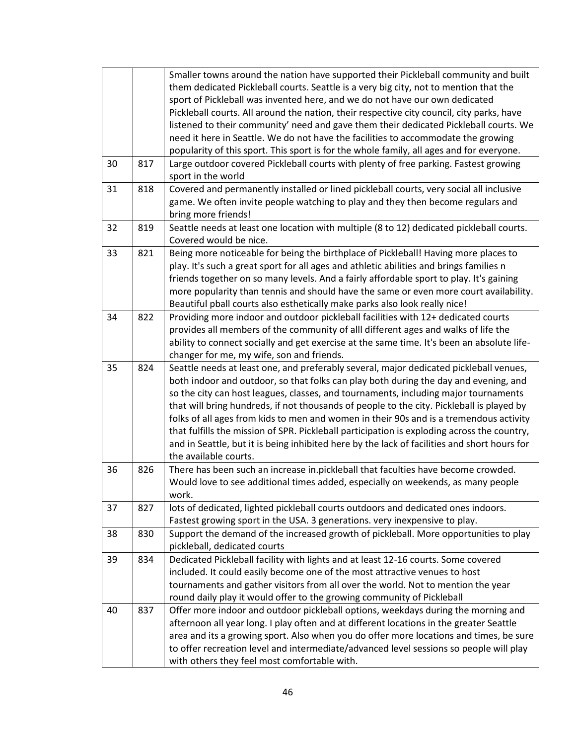|    |     | Smaller towns around the nation have supported their Pickleball community and built          |
|----|-----|----------------------------------------------------------------------------------------------|
|    |     | them dedicated Pickleball courts. Seattle is a very big city, not to mention that the        |
|    |     | sport of Pickleball was invented here, and we do not have our own dedicated                  |
|    |     | Pickleball courts. All around the nation, their respective city council, city parks, have    |
|    |     | listened to their community' need and gave them their dedicated Pickleball courts. We        |
|    |     | need it here in Seattle. We do not have the facilities to accommodate the growing            |
|    |     | popularity of this sport. This sport is for the whole family, all ages and for everyone.     |
| 30 | 817 | Large outdoor covered Pickleball courts with plenty of free parking. Fastest growing         |
|    |     | sport in the world                                                                           |
| 31 | 818 | Covered and permanently installed or lined pickleball courts, very social all inclusive      |
|    |     | game. We often invite people watching to play and they then become regulars and              |
|    |     | bring more friends!                                                                          |
| 32 | 819 | Seattle needs at least one location with multiple (8 to 12) dedicated pickleball courts.     |
|    |     | Covered would be nice.                                                                       |
| 33 | 821 | Being more noticeable for being the birthplace of Pickleball! Having more places to          |
|    |     | play. It's such a great sport for all ages and athletic abilities and brings families n      |
|    |     | friends together on so many levels. And a fairly affordable sport to play. It's gaining      |
|    |     |                                                                                              |
|    |     | more popularity than tennis and should have the same or even more court availability.        |
|    |     | Beautiful pball courts also esthetically make parks also look really nice!                   |
| 34 | 822 | Providing more indoor and outdoor pickleball facilities with 12+ dedicated courts            |
|    |     | provides all members of the community of alll different ages and walks of life the           |
|    |     | ability to connect socially and get exercise at the same time. It's been an absolute life-   |
|    |     | changer for me, my wife, son and friends.                                                    |
| 35 | 824 | Seattle needs at least one, and preferably several, major dedicated pickleball venues,       |
|    |     | both indoor and outdoor, so that folks can play both during the day and evening, and         |
|    |     | so the city can host leagues, classes, and tournaments, including major tournaments          |
|    |     | that will bring hundreds, if not thousands of people to the city. Pickleball is played by    |
|    |     | folks of all ages from kids to men and women in their 90s and is a tremendous activity       |
|    |     | that fulfills the mission of SPR. Pickleball participation is exploding across the country,  |
|    |     | and in Seattle, but it is being inhibited here by the lack of facilities and short hours for |
|    |     | the available courts.                                                                        |
| 36 | 826 | There has been such an increase in.pickleball that faculties have become crowded.            |
|    |     | Would love to see additional times added, especially on weekends, as many people             |
|    |     | work.                                                                                        |
| 37 | 827 | lots of dedicated, lighted pickleball courts outdoors and dedicated ones indoors.            |
|    |     | Fastest growing sport in the USA. 3 generations. very inexpensive to play.                   |
| 38 | 830 | Support the demand of the increased growth of pickleball. More opportunities to play         |
|    |     | pickleball, dedicated courts                                                                 |
| 39 | 834 | Dedicated Pickleball facility with lights and at least 12-16 courts. Some covered            |
|    |     | included. It could easily become one of the most attractive venues to host                   |
|    |     | tournaments and gather visitors from all over the world. Not to mention the year             |
|    |     | round daily play it would offer to the growing community of Pickleball                       |
| 40 | 837 | Offer more indoor and outdoor pickleball options, weekdays during the morning and            |
|    |     | afternoon all year long. I play often and at different locations in the greater Seattle      |
|    |     | area and its a growing sport. Also when you do offer more locations and times, be sure       |
|    |     | to offer recreation level and intermediate/advanced level sessions so people will play       |
|    |     | with others they feel most comfortable with.                                                 |
|    |     |                                                                                              |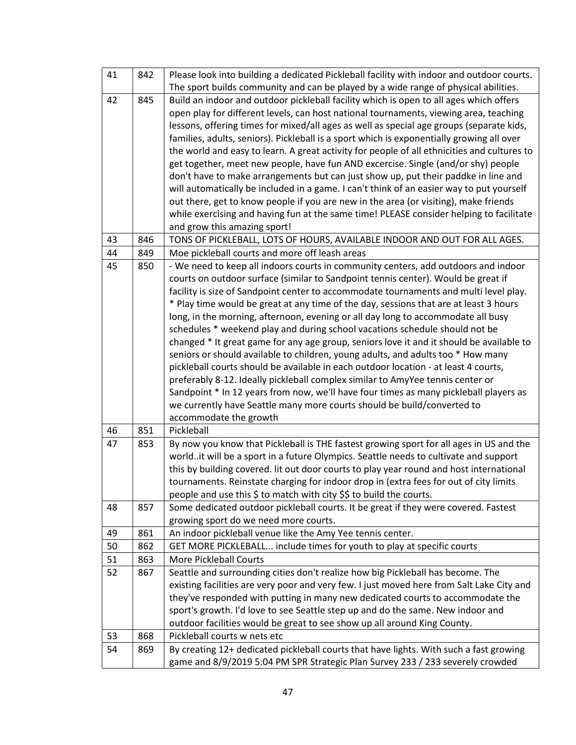| 41 | 842 | Please look into building a dedicated Pickleball facility with indoor and outdoor courts.   |
|----|-----|---------------------------------------------------------------------------------------------|
|    |     | The sport builds community and can be played by a wide range of physical abilities.         |
| 42 | 845 | Build an indoor and outdoor pickleball facility which is open to all ages which offers      |
|    |     | open play for different levels, can host national tournaments, viewing area, teaching       |
|    |     | lessons, offering times for mixed/all ages as well as special age groups (separate kids,    |
|    |     | families, adults, seniors). Pickleball is a sport which is exponentially growing all over   |
|    |     | the world and easy to learn. A great activity for people of all ethnicities and cultures to |
|    |     | get together, meet new people, have fun AND excercise. Single (and/or shy) people           |
|    |     | don't have to make arrangements but can just show up, put their paddke in line and          |
|    |     | will automatically be included in a game. I can't think of an easier way to put yourself    |
|    |     | out there, get to know people if you are new in the area (or visiting), make friends        |
|    |     | while exercising and having fun at the same time! PLEASE consider helping to facilitate     |
|    |     | and grow this amazing sport!                                                                |
| 43 | 846 | TONS OF PICKLEBALL, LOTS OF HOURS, AVAILABLE INDOOR AND OUT FOR ALL AGES.                   |
| 44 | 849 | Moe pickleball courts and more off leash areas                                              |
| 45 | 850 | - We need to keep all indoors courts in community centers, add outdoors and indoor          |
|    |     | courts on outdoor surface (similar to Sandpoint tennis center). Would be great if           |
|    |     | facility is size of Sandpoint center to accommodate tournaments and multi level play.       |
|    |     | * Play time would be great at any time of the day, sessions that are at least 3 hours       |
|    |     | long, in the morning, afternoon, evening or all day long to accommodate all busy            |
|    |     | schedules * weekend play and during school vacations schedule should not be                 |
|    |     | changed * It great game for any age group, seniors love it and it should be available to    |
|    |     | seniors or should available to children, young adults, and adults too * How many            |
|    |     | pickleball courts should be available in each outdoor location - at least 4 courts,         |
|    |     | preferably 8-12. Ideally pickleball complex similar to AmyYee tennis center or              |
|    |     | Sandpoint * In 12 years from now, we'll have four times as many pickleball players as       |
|    |     | we currently have Seattle many more courts should be build/converted to                     |
|    |     | accommodate the growth                                                                      |
| 46 | 851 | Pickleball                                                                                  |
| 47 | 853 | By now you know that Pickleball is THE fastest growing sport for all ages in US and the     |
|    |     | worldit will be a sport in a future Olympics. Seattle needs to cultivate and support        |
|    |     | this by building covered. Iit out door courts to play year round and host international     |
|    |     | tournaments. Reinstate charging for indoor drop in (extra fees for out of city limits       |
|    |     | people and use this \$ to match with city \$\$ to build the courts.                         |
| 48 | 857 | Some dedicated outdoor pickleball courts. It be great if they were covered. Fastest         |
|    |     | growing sport do we need more courts.                                                       |
| 49 | 861 | An indoor pickleball venue like the Amy Yee tennis center.                                  |
| 50 | 862 | GET MORE PICKLEBALL include times for youth to play at specific courts                      |
| 51 | 863 | <b>More Pickleball Courts</b>                                                               |
| 52 | 867 | Seattle and surrounding cities don't realize how big Pickleball has become. The             |
|    |     | existing facilities are very poor and very few. I just moved here from Salt Lake City and   |
|    |     | they've responded with putting in many new dedicated courts to accommodate the              |
|    |     | sport's growth. I'd love to see Seattle step up and do the same. New indoor and             |
|    |     | outdoor facilities would be great to see show up all around King County.                    |
| 53 | 868 | Pickleball courts w nets etc                                                                |
| 54 | 869 | By creating 12+ dedicated pickleball courts that have lights. With such a fast growing      |
|    |     | game and 8/9/2019 5:04 PM SPR Strategic Plan Survey 233 / 233 severely crowded              |